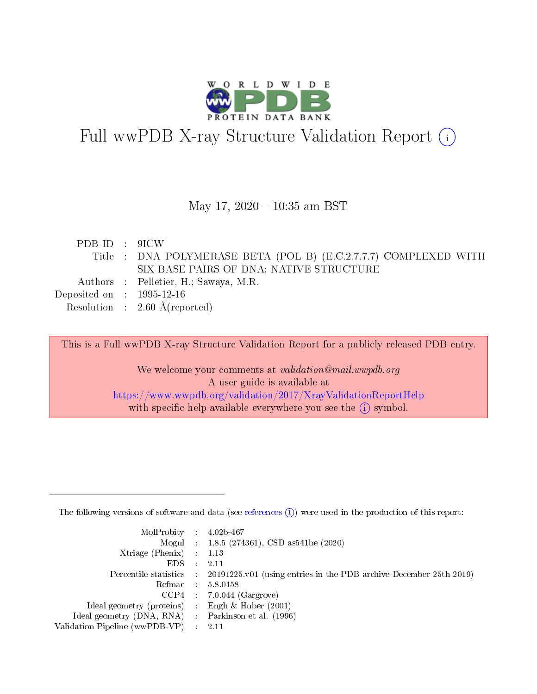

# Full wwPDB X-ray Structure Validation Report (i)

#### May 17,  $2020 - 10:35$  am BST

| PDB ID : 9ICW               |                                                                  |
|-----------------------------|------------------------------------------------------------------|
|                             | Title : DNA POLYMERASE BETA (POL B) (E.C.2.7.7.7) COMPLEXED WITH |
|                             | SIX BASE PAIRS OF DNA; NATIVE STRUCTURE                          |
|                             | Authors : Pelletier, H.; Sawaya, M.R.                            |
| Deposited on : $1995-12-16$ |                                                                  |
|                             | Resolution : $2.60 \text{ Å}$ (reported)                         |

This is a Full wwPDB X-ray Structure Validation Report for a publicly released PDB entry.

We welcome your comments at validation@mail.wwpdb.org A user guide is available at <https://www.wwpdb.org/validation/2017/XrayValidationReportHelp> with specific help available everywhere you see the  $(i)$  symbol.

The following versions of software and data (see [references](https://www.wwpdb.org/validation/2017/XrayValidationReportHelp#references)  $(1)$ ) were used in the production of this report:

| $MolProbability$ : 4.02b-467                      |                              |                                                                                            |
|---------------------------------------------------|------------------------------|--------------------------------------------------------------------------------------------|
|                                                   |                              | Mogul : $1.8.5$ (274361), CSD as 541be (2020)                                              |
| Xtriage (Phenix) $: 1.13$                         |                              |                                                                                            |
| EDS –                                             | $\sim$                       | -2.11                                                                                      |
|                                                   |                              | Percentile statistics : 20191225.v01 (using entries in the PDB archive December 25th 2019) |
| Refmac : 5.8.0158                                 |                              |                                                                                            |
| CCP4                                              |                              | $7.0.044$ (Gargrove)                                                                       |
| Ideal geometry (proteins)                         | $\mathcal{L}_{\mathrm{eff}}$ | Engh & Huber $(2001)$                                                                      |
| Ideal geometry (DNA, RNA) Parkinson et al. (1996) |                              |                                                                                            |
| Validation Pipeline (wwPDB-VP) : 2.11             |                              |                                                                                            |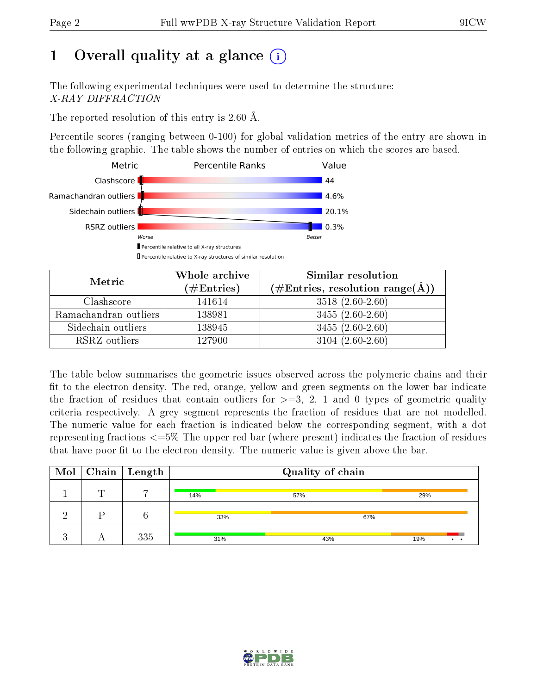## 1 [O](https://www.wwpdb.org/validation/2017/XrayValidationReportHelp#overall_quality)verall quality at a glance  $(i)$

The following experimental techniques were used to determine the structure: X-RAY DIFFRACTION

The reported resolution of this entry is 2.60 Å.

Percentile scores (ranging between 0-100) for global validation metrics of the entry are shown in the following graphic. The table shows the number of entries on which the scores are based.



| Metric                | Whole archive<br>$(\#\mathrm{Entries})$ | Similar resolution<br>$(\#\text{Entries}, \text{resolution range}(\text{\AA}))$ |
|-----------------------|-----------------------------------------|---------------------------------------------------------------------------------|
| Clashscore            | 141614                                  | $3518(2.60-2.60)$                                                               |
| Ramachandran outliers | 138981                                  | $3455(2.60-2.60)$                                                               |
| Sidechain outliers    | 138945                                  | $3455(2.60-2.60)$                                                               |
| RSRZ outliers         | 127900                                  | $3104(2.60-2.60)$                                                               |

The table below summarises the geometric issues observed across the polymeric chains and their fit to the electron density. The red, orange, yellow and green segments on the lower bar indicate the fraction of residues that contain outliers for  $\geq=3$ , 2, 1 and 0 types of geometric quality criteria respectively. A grey segment represents the fraction of residues that are not modelled. The numeric value for each fraction is indicated below the corresponding segment, with a dot representing fractions  $\epsilon=5\%$  The upper red bar (where present) indicates the fraction of residues that have poor fit to the electron density. The numeric value is given above the bar.

| $\text{Mol}$ | $\boxed{\text{Chain}}$ Length |     | Quality of chain |                            |
|--------------|-------------------------------|-----|------------------|----------------------------|
|              |                               | 14% | 57%              | 29%                        |
|              |                               | 33% | 67%              |                            |
|              | 335                           | 31% | 43%              | 19%<br>$\bullet$ $\bullet$ |

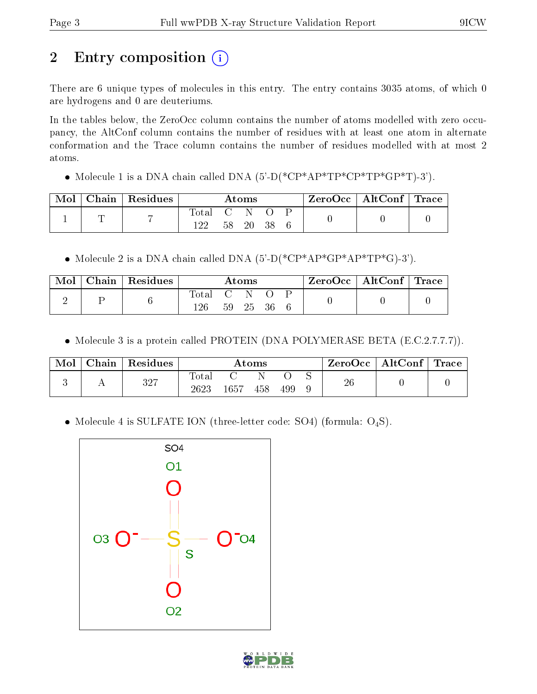## 2 Entry composition  $\left( \cdot \right)$

There are 6 unique types of molecules in this entry. The entry contains 3035 atoms, of which 0 are hydrogens and 0 are deuteriums.

In the tables below, the ZeroOcc column contains the number of atoms modelled with zero occupancy, the AltConf column contains the number of residues with at least one atom in alternate conformation and the Trace column contains the number of residues modelled with at most 2 atoms.

• Molecule 1 is a DNA chain called DNA  $(5\text{-}D(*\text{CP*AP*TP*CP*TP*GP*T})-3')$ .

| Mol | Chain   Residues |     | $\rm{Atoms}$ |     |  | $ZeroOcc \mid AltConf \mid Trace$ |  |
|-----|------------------|-----|--------------|-----|--|-----------------------------------|--|
|     |                  |     |              |     |  |                                   |  |
|     |                  | 122 | 20           | -38 |  |                                   |  |

• Molecule 2 is a DNA chain called DNA  $(5'-D(*\text{CP*AP*GP*AP*TP*G})-3')$ .

| Mol | $\vert$ Chain $\vert$ Residues |                            | $\rm{Atoms}$ |  | $\text{ZeroOcc} \mid \text{AltConf} \mid \text{Trace}$ |  |
|-----|--------------------------------|----------------------------|--------------|--|--------------------------------------------------------|--|
| ↵   |                                | $\rm Total \quad C$<br>126 | 59 25 36     |  |                                                        |  |

• Molecule 3 is a protein called PROTEIN (DNA POLYMERASE BETA (E.C.2.7.7.7)).

| Mol | Chain   Residues |                     |          | $\bm{\mathrm{Atoms}}$ |     | $\text{ZeroOcc} \mid \text{AltConf} \mid \text{Trace}$ |  |
|-----|------------------|---------------------|----------|-----------------------|-----|--------------------------------------------------------|--|
|     | 327              | $\rm Total$<br>2623 | $1657\,$ | 458                   | 499 | 26                                                     |  |

• Molecule 4 is SULFATE ION (three-letter code: SO4) (formula: O<sub>4</sub>S).



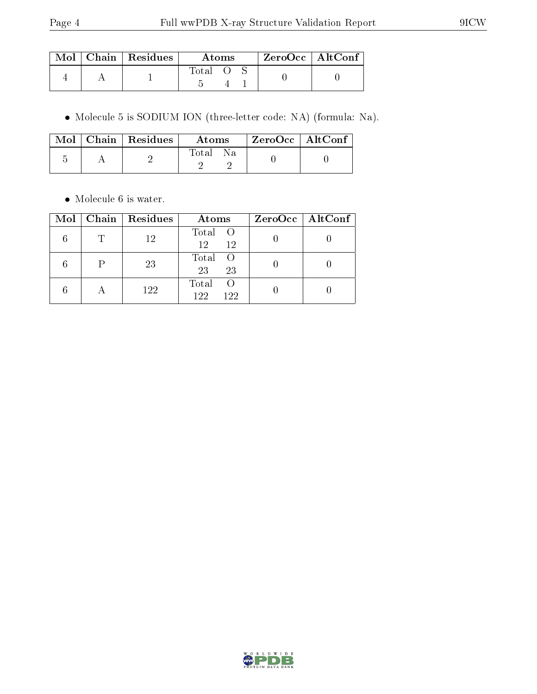|  | $\blacksquare$ Mol $\vert$ Chain $\vert$ Residues | Atoms |  | ZeroOcc   AltConf |  |
|--|---------------------------------------------------|-------|--|-------------------|--|
|  |                                                   | Total |  |                   |  |

Molecule 5 is SODIUM ION (three-letter code: NA) (formula: Na).

|  | $\text{Mol}$   Chain   Residues | Atoms | ZeroOcc   AltConf |  |
|--|---------------------------------|-------|-------------------|--|
|  |                                 | Total |                   |  |

• Molecule 6 is water.

| Mol | Chain Residues | Atoms                                   | ZeroOcc   AltConf |
|-----|----------------|-----------------------------------------|-------------------|
|     | 12             | Total O<br>12<br>12                     |                   |
|     | 23             | Total<br>$\left($<br>23<br>23           |                   |
|     | 122            | Total<br>$\left( \right)$<br>122<br>122 |                   |

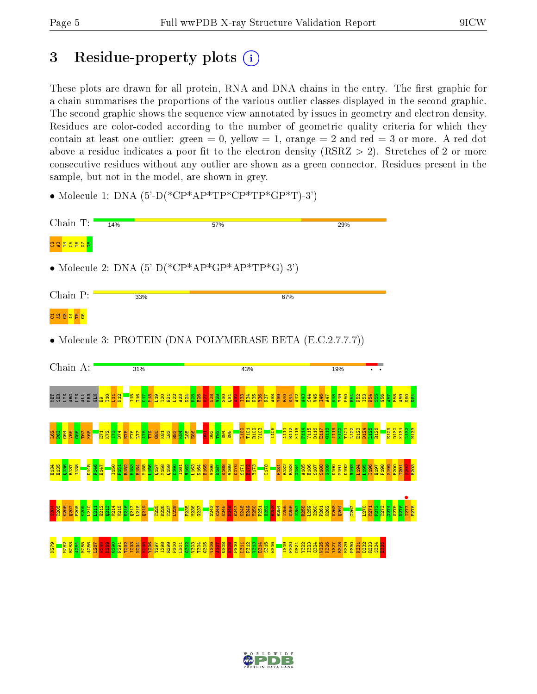## 3 Residue-property plots  $(i)$

These plots are drawn for all protein, RNA and DNA chains in the entry. The first graphic for a chain summarises the proportions of the various outlier classes displayed in the second graphic. The second graphic shows the sequence view annotated by issues in geometry and electron density. Residues are color-coded according to the number of geometric quality criteria for which they contain at least one outlier: green  $= 0$ , yellow  $= 1$ , orange  $= 2$  and red  $= 3$  or more. A red dot above a residue indicates a poor fit to the electron density (RSRZ  $> 2$ ). Stretches of 2 or more consecutive residues without any outlier are shown as a green connector. Residues present in the sample, but not in the model, are shown in grey.

• Molecule 1: DNA  $(5^{\circ}$ -D(\*CP\*AP\*TP\*CP\*TP\*GP\*T)-3')

| Chain T:                   | 14%                                                                                                                                    | 57%                                                                                                                                                               | 29%                                                                                                                               |  |
|----------------------------|----------------------------------------------------------------------------------------------------------------------------------------|-------------------------------------------------------------------------------------------------------------------------------------------------------------------|-----------------------------------------------------------------------------------------------------------------------------------|--|
| <mark>ខេត្ត ខេត្ត</mark> ខ |                                                                                                                                        |                                                                                                                                                                   |                                                                                                                                   |  |
|                            | • Molecule 2: DNA $(5^{\circ}$ -D(*CP*AP*GP*AP*TP*G)-3')                                                                               |                                                                                                                                                                   |                                                                                                                                   |  |
| Chain P:                   | 33%                                                                                                                                    | 67%                                                                                                                                                               |                                                                                                                                   |  |
|                            |                                                                                                                                        |                                                                                                                                                                   |                                                                                                                                   |  |
|                            | • Molecule 3: PROTEIN (DNA POLYMERASE BETA (E.C.2.7.7.7))                                                                              |                                                                                                                                                                   |                                                                                                                                   |  |
| Chain A:                   | 31%                                                                                                                                    | 43%                                                                                                                                                               | 19%                                                                                                                               |  |
|                            | ម្តែងនិដ្ឋ មន្ទ្រី <mark>ខ្ទី ដូច ដូច ដូច ដូច ដូច ដូច ដូច ដូច ដូច និង</mark> ដូច ដូច ដូច ដូច ដូច ដូច ដូច ដូច ដូច                       |                                                                                                                                                                   | <mark>្សី ទី ទី ទី ទី ទី ទី ទី ចូ ចូ ចូ ចូ ទី ទី ទី ទី ទី ទី ទី ទី ទី ទី</mark>                                                   |  |
| 8931<br>1995               | <mark>ិងនាំនិងទី ទី១៩ ដែល</mark>                                                                                                       | $\frac{8}{1}$ $\frac{3}{1}$ $\frac{8}{1}$ $\frac{8}{1}$ $\frac{8}{1}$ $\frac{8}{1}$ $\frac{8}{1}$<br><b>106</b><br><mark>ក្ត ន្ត្រី ន្ត្</mark> នី <mark>គ</mark> | <mark>ម្ម អ្នង មាន មាន មាន មាន មាន មា</mark><br><mark>ម្អ អ្នង មាន មាន មាន មាន មាន មា</mark><br>ក្នុង មាន មាន មាន មាន មាន មាន មាន |  |
|                            | <b>Historial School</b><br>Historial School School School School School School School School School School School School School School |                                                                                                                                                                   |                                                                                                                                   |  |
|                            |                                                                                                                                        |                                                                                                                                                                   |                                                                                                                                   |  |
| 283                        |                                                                                                                                        | 1319<br>1320                                                                                                                                                      | $327$<br>$323$<br>$323$<br>334<br>333<br>33332                                                                                    |  |

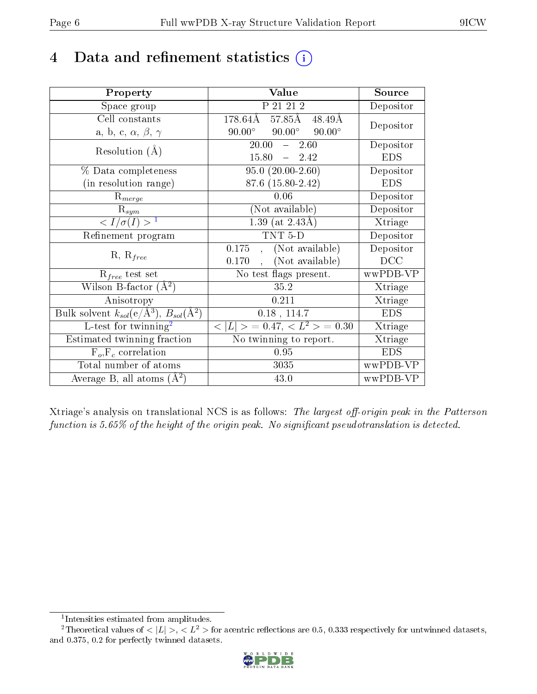## 4 Data and refinement statistics  $(i)$

| Property                                                   | Value                                             | Source     |
|------------------------------------------------------------|---------------------------------------------------|------------|
| Space group                                                | P 21 21 2                                         | Depositor  |
| Cell constants                                             | $178.64\rm\AA$<br>57.85Å<br>$48.49\text{\AA}$     | Depositor  |
| a, b, c, $\alpha$ , $\beta$ , $\gamma$                     | $90.00^\circ$<br>$90.00^\circ$<br>$90.00^{\circ}$ |            |
| Resolution $(A)$                                           | 20.00<br>2.60<br>$\frac{1}{2}$                    | Depositor  |
|                                                            | 15.80<br>$-2.42$                                  | <b>EDS</b> |
| % Data completeness                                        | $95.0(20.00-2.60)$                                | Depositor  |
| (in resolution range)                                      | 87.6 (15.80-2.42)                                 | <b>EDS</b> |
| $R_{merge}$                                                | 0.06                                              | Depositor  |
| $\mathrm{R}_{sym}$                                         | (Not available)                                   | Depositor  |
| $\langle I/\sigma(I) \rangle^{-1}$                         | 1.39 (at $2.43\text{\AA}$ )                       | Xtriage    |
| Refinement program                                         | TNT 5-D                                           | Depositor  |
|                                                            | (Not available)<br>0.175                          | Depositor  |
| $R, R_{free}$                                              | (Not available)<br>0.170                          | DCC        |
| $R_{free}$ test set                                        | No test flags present.                            | wwPDB-VP   |
| Wilson B-factor $(A^2)$                                    | 35.2                                              | Xtriage    |
| Anisotropy                                                 | 0.211                                             | Xtriage    |
| Bulk solvent $k_{sol}$ (e/Å <sup>3</sup> ), $B_{sol}(A^2)$ | $0.18$ , 114.7                                    | <b>EDS</b> |
| L-test for twinning <sup>2</sup>                           | $< L >$ = 0.47, $< L2 >$ = 0.30                   | Xtriage    |
| Estimated twinning fraction                                | No twinning to report.                            | Xtriage    |
| $\overline{F_o}, \overline{F_c}$ correlation               | 0.95                                              | <b>EDS</b> |
| Total number of atoms                                      | 3035                                              | wwPDB-VP   |
| Average B, all atoms $(A^2)$                               | 43.0                                              | wwPDB-VP   |

Xtriage's analysis on translational NCS is as follows: The largest off-origin peak in the Patterson function is  $5.65\%$  of the height of the origin peak. No significant pseudotranslation is detected.

<sup>&</sup>lt;sup>2</sup>Theoretical values of  $\langle |L| \rangle$ ,  $\langle L^2 \rangle$  for acentric reflections are 0.5, 0.333 respectively for untwinned datasets, and 0.375, 0.2 for perfectly twinned datasets.



<span id="page-5-1"></span><span id="page-5-0"></span><sup>1</sup> Intensities estimated from amplitudes.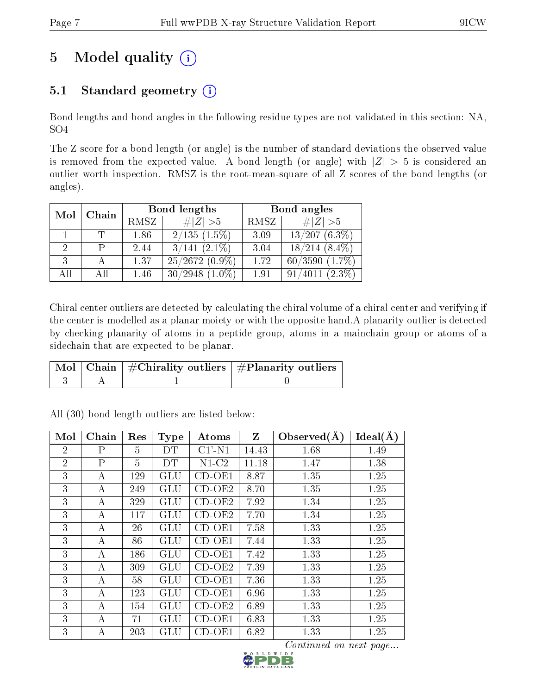## 5 Model quality  $(i)$

### 5.1 Standard geometry  $(i)$

Bond lengths and bond angles in the following residue types are not validated in this section: NA, SO4

The Z score for a bond length (or angle) is the number of standard deviations the observed value is removed from the expected value. A bond length (or angle) with  $|Z| > 5$  is considered an outlier worth inspection. RMSZ is the root-mean-square of all Z scores of the bond lengths (or angles).

| Chain<br>Mol |    |      | Bond lengths         | Bond angles |                          |  |
|--------------|----|------|----------------------|-------------|--------------------------|--|
|              |    | RMSZ | # $ Z >5$            | RMSZ        | $\ Z\  > 5$              |  |
|              |    | 1.86 | $2/135(1.5\%)$       | 3.09        | $13/207(6.3\%)$          |  |
|              |    | 2.44 | $3/141$ $(2.1\%)$    | 3.04        | $18/214$ $(8.4\%)$       |  |
| 3            |    | 1.37 | $25/2672(0.9\%)$     | 1.72        | $60/3590$ $(1.7\%)$      |  |
| All          | АH | 1.46 | 30/2948<br>$(1.0\%)$ | 1.91        | $(2.3\%)$<br>4011<br>91/ |  |

Chiral center outliers are detected by calculating the chiral volume of a chiral center and verifying if the center is modelled as a planar moiety or with the opposite hand.A planarity outlier is detected by checking planarity of atoms in a peptide group, atoms in a mainchain group or atoms of a sidechain that are expected to be planar.

|  | $\lceil \, \text{Mol} \, \rceil$ Chain $\mid \# \text{Chirality outliers} \mid \# \text{Planarity outliers} \mid$ |
|--|-------------------------------------------------------------------------------------------------------------------|
|  |                                                                                                                   |

| Mol            | Chain          | Res            | <b>Type</b> | Atoms     | Z     | Observed $(A)$ | Ideal(A) |
|----------------|----------------|----------------|-------------|-----------|-------|----------------|----------|
| $\overline{2}$ | P              | 5              | DT          | $C1'$ -N1 | 14.43 | 1.68           | 1.49     |
| $\overline{2}$ | $\overline{P}$ | $\overline{5}$ | DT          | $N1-C2$   | 11.18 | 1.47           | 1.38     |
| 3              | А              | 129            | GLU         | $CD-OE1$  | 8.87  | 1.35           | 1.25     |
| 3              | A              | 249            | GLU         | $CD-OE2$  | 8.70  | 1.35           | 1.25     |
| 3              | A              | 329            | GLU         | $CD-OE2$  | 7.92  | 1.34           | 1.25     |
| 3              | А              | 117            | GLU         | $CD-OE2$  | 7.70  | 1.34           | 1.25     |
| 3              | А              | 26             | GLU         | $CD-OE1$  | 7.58  | 1.33           | 1.25     |
| 3              | A              | 86             | GLU         | $CD-OE1$  | 7.44  | 1.33           | 1.25     |
| 3              | А              | 186            | GLU         | $CD-OE1$  | 7.42  | 1.33           | 1.25     |
| 3              | А              | 309            | GLU         | $CD-OE2$  | 7.39  | 1.33           | 1.25     |
| 3              | A              | 58             | GLU         | $CD-OE1$  | 7.36  | 1.33           | 1.25     |
| 3              | A              | 123            | <b>GLU</b>  | $CD-OE1$  | 6.96  | 1.33           | 1.25     |
| 3              | А              | 154            | GLU         | $CD-OE2$  | 6.89  | 1.33           | 1.25     |
| 3              | A              | 71             | GLU         | $CD-OE1$  | 6.83  | 1.33           | 1.25     |
| 3              | А              | 203            | GLU         | $CD-OE1$  | 6.82  | 1.33           | 1.25     |

All (30) bond length outliers are listed below:

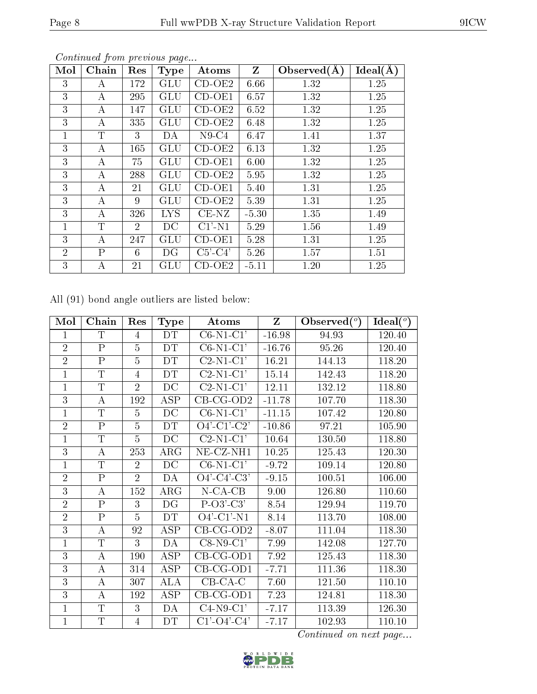| Mol            | Chain        | Res            | <b>Type</b>  | Atoms     | $\mathbf{Z}$ | Observed(A) | $Ideal(\AA)$ |
|----------------|--------------|----------------|--------------|-----------|--------------|-------------|--------------|
| 3              | А            | 172            | GLU          | $CD-OE2$  | 6.66         | 1.32        | 1.25         |
| 3              | А            | 295            | GLU          | $CD-OE1$  | 6.57         | 1.32        | 1.25         |
| 3              | А            | 147            | GLU          | $CD-OE2$  | 6.52         | 1.32        | 1.25         |
| 3              | А            | 335            | GLU          | $CD-OE2$  | 6.48         | 1.32        | 1.25         |
| 1              | T            | 3              | DA           | $N9-C4$   | 6.47         | 1.41        | 1.37         |
| 3              | А            | 165            | <b>GLU</b>   | $CD-OE2$  | 6.13         | 1.32        | 1.25         |
| 3              | А            | 75             | GLU          | $CD-OE1$  | 6.00         | 1.32        | 1.25         |
| 3              | А            | 288            | GLU          | $CD-OE2$  | 5.95         | 1.32        | 1.25         |
| 3              | А            | 21             | GLU          | $CD-OE1$  | 5.40         | 1.31        | 1.25         |
| 3              | А            | 9              | GLU          | $CD-OE2$  | 5.39         | 1.31        | 1.25         |
| 3              | А            | 326            | <b>LYS</b>   | $CE-NZ$   | $-5.30$      | 1.35        | 1.49         |
| 1              | $\mathbf T$  | $\overline{2}$ | DC           | $C1'$ -N1 | 5.29         | 1.56        | 1.49         |
| 3              | А            | 247            | GLU          | CD-OE1    | 5.28         | 1.31        | 1.25         |
| $\overline{2}$ | $\mathbf{P}$ | 6              | DG           | $C5'-C4'$ | 5.26         | 1.57        | 1.51         |
| 3              | А            | 21             | $_{\rm GLU}$ | $CD-OE2$  | $-5.11$      | 1.20        | 1.25         |

All (91) bond angle outliers are listed below:

| Mol            | Chain                   | Res            | <b>Type</b> | Atoms          | Z        | Observed $(°)$ | Ideal $(°)$ |
|----------------|-------------------------|----------------|-------------|----------------|----------|----------------|-------------|
| 1              | $\mathsf{T}$            | 4              | DT          | $C6-N1-C1'$    | $-16.98$ | 94.93          | 120.40      |
| $\overline{2}$ | $\overline{P}$          | 5              | DT          | $C6-N1-C1'$    | $-16.76$ | 95.26          | 120.40      |
| $\overline{2}$ | $\overline{\mathrm{P}}$ | 5              | DT          | $C2-N1-C1'$    | 16.21    | 144.13         | 118.20      |
| $\mathbf{1}$   | T                       | 4              | DT          | $C2-N1-C1'$    | 15.14    | 142.43         | 118.20      |
| $\overline{1}$ | T                       | $\overline{2}$ | DC          | $C2-N1-C1'$    | 12.11    | 132.12         | 118.80      |
| 3              | А                       | 192            | <b>ASP</b>  | $CB-CG-OD2$    | $-11.78$ | 107.70         | 118.30      |
| $\mathbf{1}$   | $\mathbf T$             | $\overline{5}$ | DC          | $C6-N1-C1'$    | $-11.15$ | 107.42         | 120.80      |
| $\overline{2}$ | $\mathbf{P}$            | $\overline{5}$ | DT          | $O4'$ -C1'-C2' | $-10.86$ | 97.21          | 105.90      |
| $\mathbf{1}$   | $\mathbf T$             | $\overline{5}$ | DC          | $C2-N1-C1'$    | 10.64    | 130.50         | 118.80      |
| 3              | А                       | 253            | $\rm{ARG}$  | NE-CZ-NH1      | 10.25    | 125.43         | 120.30      |
| $\mathbf{1}$   | $\overline{T}$          | $\overline{2}$ | DC          | $C6-N1-C1'$    | $-9.72$  | 109.14         | 120.80      |
| $\overline{2}$ | $\overline{P}$          | $\overline{2}$ | DA          | $O4'$ -C4'-C3' | $-9.15$  | 100.51         | 106.00      |
| $\overline{3}$ | A                       | 152            | $\rm{ARG}$  | $N$ -CA-CB     | 9.00     | 126.80         | 110.60      |
| $\overline{2}$ | $\overline{P}$          | 3              | DG          | $P-O3'-C3'$    | 8.54     | 129.94         | 119.70      |
| $\overline{2}$ | $\overline{\mathrm{P}}$ | $\overline{5}$ | DT          | $O4'$ -C1'-N1  | 8.14     | 113.70         | 108.00      |
| 3              | $\bf{A}$                | 92             | <b>ASP</b>  | $CB-CG-OD2$    | $-8.07$  | 111.04         | 118.30      |
| $\overline{1}$ | $\overline{T}$          | 3              | DA          | $C8-N9-C1'$    | 7.99     | 142.08         | 127.70      |
| 3              | A                       | 190            | <b>ASP</b>  | $CB-CG-OD1$    | 7.92     | 125.43         | 118.30      |
| 3              | $\overline{A}$          | 314            | <b>ASP</b>  | $CB-CG-OD1$    | $-7.71$  | 111.36         | 118.30      |
| $\overline{3}$ | А                       | 307            | <b>ALA</b>  | $CB-CA-C$      | 7.60     | 121.50         | 110.10      |
| 3              | A                       | 192            | ASP         | $CB-CG-OD1$    | 7.23     | 124.81         | 118.30      |
| 1              | $\mathbf T$             | 3              | DA          | $C4-N9-C1'$    | $-7.17$  | 113.39         | 126.30      |
| $\mathbf{1}$   | T                       | 4              | DТ          | $C1'$ -O4'-C4' | $-7.17$  | 102.93         | 110.10      |

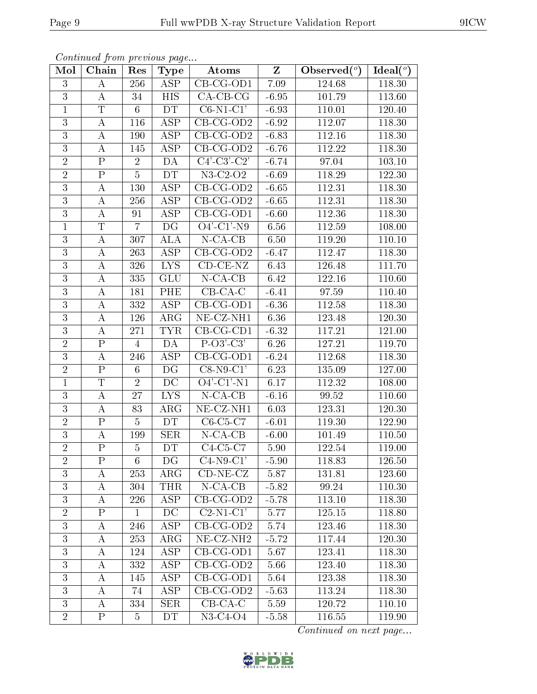| Mol            | Chain                   | Res            | <b>Type</b>             | Atoms                         | $Z_{\parallel}$ | Observed $\overline{(^{\circ})}$ | Ideal $\overline{(\,^o)}$ |
|----------------|-------------------------|----------------|-------------------------|-------------------------------|-----------------|----------------------------------|---------------------------|
| 3              | A                       | 256            | <b>ASP</b>              | $CB-CG-OD1$                   | 7.09            | 124.68                           | 118.30                    |
| 3              | A                       | 34             | <b>HIS</b>              | $CA-CB-CG$                    | $-6.95$         | 101.79                           | 113.60                    |
| $\mathbf{1}$   | $\overline{T}$          | $6\phantom{.}$ | <b>DT</b>               | $C6-N1-C1'$                   | $-6.93$         | 110.01                           | 120.40                    |
| 3              | $\bf{A}$                | 116            | <b>ASP</b>              | $CB-CG-OD2$                   | $-6.92$         | 112.07                           | 118.30                    |
| $\overline{3}$ | $\boldsymbol{A}$        | 190            | <b>ASP</b>              | $CB-CG-OD2$                   | $-6.83$         | 112.16                           | 118.30                    |
| 3              | $\boldsymbol{A}$        | 145            | ASP                     | $CB$ -CG-OD2                  | $-6.76$         | 112.22                           | 118.30                    |
| $\overline{2}$ | ${\bf P}$               | $\sqrt{2}$     | DA                      | $C4'-C3'-C2'$                 | $-6.74$         | 97.04                            | 103.10                    |
| $\overline{2}$ | $\overline{P}$          | $\overline{5}$ | DT                      | $\overline{\text{N3-C}}$ 2-O2 | $-6.69$         | 118.29                           | 122.30                    |
| 3              | $\bf{A}$                | 130            | $\overline{\text{ASP}}$ | $CB-CG-OD2$                   | $-6.65$         | 112.31                           | 118.30                    |
| $\overline{3}$ | $\bf{A}$                | 256            | $\overline{\text{ASP}}$ | $CB-CG-OD2$                   | $-6.65$         | 112.31                           | 118.30                    |
| 3              | $\bf{A}$                | 91             | ASP                     | CB-CG-OD1                     | $-6.60$         | 112.36                           | 118.30                    |
| $\mathbf{1}$   | $\mathbf T$             | $\overline{7}$ | DG                      | $O4'$ -C1'-N9                 | 6.56            | 112.59                           | 108.00                    |
| $\overline{3}$ | $\bf{A}$                | 307            | <b>ALA</b>              | $N$ -CA-CB                    | 6.50            | 119.20                           | 110.10                    |
| $\overline{3}$ | $\bf{A}$                | 263            | <b>ASP</b>              | $CB-CG-OD2$                   | $-6.47$         | 112.47                           | 118.30                    |
| $\overline{3}$ | $\bf{A}$                | 326            | <b>LYS</b>              | $CD$ - $CE$ - $NZ$            | 6.43            | 126.48                           | 111.70                    |
| 3              | $\bf{A}$                | 335            | <b>GLU</b>              | $N-CA-CB$                     | 6.42            | 122.16                           | 110.60                    |
| 3              | $\bf{A}$                | 181            | PHE                     | $\overline{CB-CA-C}$          | $-6.41$         | 97.59                            | 110.40                    |
| 3              | A                       | 332            | ASP                     | CB-CG-OD1                     | $-6.36$         | 112.58                           | 118.30                    |
| 3              | $\bf{A}$                | 126            | $\rm{ARG}$              | NE-CZ-NH1                     | 6.36            | 123.48                           | 120.30                    |
| 3              | А                       | $271\,$        | <b>TYR</b>              | $CB-CG-CD1$                   | $-6.32$         | 117.21                           | 121.00                    |
| $\overline{2}$ | $\mathbf P$             | 4              | DA                      | $P-O3'-C3'$                   | 6.26            | 127.21                           | 119.70                    |
| $\overline{3}$ | $\bf{A}$                | 246            | $\overline{\text{ASP}}$ | $CB-CG-OD1$                   | $-6.24$         | 112.68                           | 118.30                    |
| $\overline{2}$ | $\mathbf P$             | 6              | DG                      | $C8-N9-C1'$                   | 6.23            | 135.09                           | 127.00                    |
| $\overline{1}$ | $\overline{\mathrm{T}}$ | $\overline{2}$ | $\overline{DC}$         | $O4'$ -C1'-N1                 | 6.17            | 112.32                           | 108.00                    |
| $\overline{3}$ | $\boldsymbol{A}$        | 27             | <b>LYS</b>              | $N$ -CA-CB                    | $-6.16$         | 99.52                            | 110.60                    |
| 3              | $\bf{A}$                | 83             | $\rm{ARG}$              | NE-CZ-NH1                     | 6.03            | 123.31                           | 120.30                    |
| $\overline{2}$ | ${\bf P}$               | $\overline{5}$ | DT                      | $C6-C5-C7$                    | $-6.01$         | 119.30                           | 122.90                    |
| 3              | $\bf{A}$                | 199            | <b>SER</b>              | $N$ -CA-CB                    | $-6.00$         | 101.49                           | 110.50                    |
| $\overline{2}$ | $\overline{\mathrm{P}}$ | $\overline{5}$ | DT                      | $C4-C5-C7$                    | 5.90            | 122.54                           | 119.00                    |
| $\overline{2}$ | $\rm P$                 | 6              | $\overline{\text{DG}}$  | $C4-N9-C1'$                   | $-5.90$         | 118.83                           | 126.50                    |
| 3              | A                       | 253            | $\rm{ARG}$              | $CD-NE- CZ$                   | 5.87            | 131.81                           | 123.60                    |
| 3              | А                       | 304            | <b>THR</b>              | $N-CA-CB$                     | $-5.82$         | 99.24                            | 110.30                    |
| 3              | A                       | 226            | ASP                     | $CB-CG-OD2$                   | $-5.78$         | 113.10                           | 118.30                    |
| $\sqrt{2}$     | $\mathbf P$             | $\mathbf{1}$   | DC                      | $\overline{\text{C2-N1-C1}'}$ | 5.77            | 125.15                           | 118.80                    |
| 3              | $\bf{A}$                | 246            | <b>ASP</b>              | $CB$ -CG-OD2                  | 5.74            | 123.46                           | 118.30                    |
| 3              | A                       | 253            | $\rm{ARG}$              | NE-CZ-NH <sub>2</sub>         | $-5.72$         | 117.44                           | 120.30                    |
| $\mathfrak{Z}$ | A                       | 124            | ASP                     | $CB-CG-OD1$                   | 5.67            | 123.41                           | 118.30                    |
| 3              | А                       | 332            | ASP                     | $CB-CG-OD2$                   | 5.66            | 123.40                           | 118.30                    |
| 3              | A                       | 145            | ASP                     | CB-CG-OD1                     | 5.64            | 123.38                           | 118.30                    |
| 3              | A                       | 74             | ASP                     | $CB-CG-OD2$                   | $-5.63$         | 113.24                           | 118.30                    |
| 3              | A                       | 334            | <b>SER</b>              | $CB-CA-C$                     | 5.59            | 120.72                           | 110.10                    |
| $\overline{2}$ | $\mathbf{P}$            | $\overline{5}$ | <b>DT</b>               | $N3-C4-O4$                    | $-5.58$         | 116.55                           | 119.90                    |

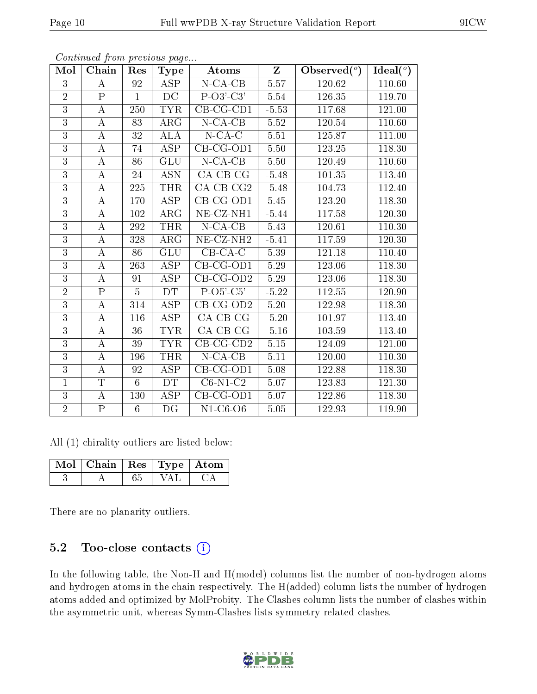| Mol            | Chain                   | Res             | Type                    | Atoms                         | $\mathbf{Z}$      | Observed $(°)$ | Ideal $(°)$ |
|----------------|-------------------------|-----------------|-------------------------|-------------------------------|-------------------|----------------|-------------|
| $\overline{3}$ | A                       | 92              | <b>ASP</b>              | $N$ -CA-CB                    | 5.57              | 120.62         | 110.60      |
| $\overline{2}$ | $\mathbf P$             | $\mathbf{1}$    | DC                      | $P-O3'-C3'$                   | 5.54              | 126.35         | 119.70      |
| $\overline{3}$ | $\bf{A}$                | $250\,$         | <b>TYR</b>              | $\overline{\text{CB-CG-CD1}}$ | $-5.53$           | 117.68         | 121.00      |
| $\overline{3}$ | $\bf{A}$                | 83              | $\rm{ARG}$              | $N$ -CA-CB                    | 5.52              | 120.54         | 110.60      |
| $\overline{3}$ | $\overline{A}$          | 32              | $\overline{ALA}$        | $N$ -CA-C                     | $\overline{5.51}$ | 125.87         | 111.00      |
| $\overline{3}$ | $\bf{A}$                | 74              | <b>ASP</b>              | $CB-CG-OD1$                   | $5.50\,$          | $123.25\,$     | 118.30      |
| 3              | A                       | 86              | <b>GLU</b>              | $N$ -CA-CB                    | 5.50              | 120.49         | 110.60      |
| $\overline{3}$ | $\boldsymbol{A}$        | 24              | <b>ASN</b>              | $CA$ -CB-CG                   | $-5.48$           | 101.35         | 113.40      |
| 3              | $\bf{A}$                | 225             | THR                     | $CA-CB-CG2$                   | $-5.48$           | 104.73         | 112.40      |
| $\overline{3}$ | $\bf{A}$                | 170             | $\overline{\text{ASP}}$ | $CB-CG-OD1$                   | 5.45              | 123.20         | 118.30      |
| $\overline{3}$ | $\bf{A}$                | 102             | $\rm{ARG}$              | $NE- CZ-NH1$                  | $-5.44$           | 117.58         | 120.30      |
| $\overline{3}$ | А                       | 292             | <b>THR</b>              | $N$ -CA-CB                    | 5.43              | 120.61         | 110.30      |
| $\overline{3}$ | $\bf{A}$                | 328             | $\rm{ARG}$              | NE-CZ-NH <sub>2</sub>         | $-5.41$           | 117.59         | 120.30      |
| $\overline{3}$ | $\bf{A}$                | 86              | <b>GLU</b>              | $CB-CA-C$                     | 5.39              | 121.18         | 110.40      |
| $\overline{3}$ | $\bf{A}$                | 263             | ASP                     | $CB-CG-OD1$                   | 5.29              | 123.06         | 118.30      |
| $\overline{3}$ | $\boldsymbol{A}$        | 91              | ASP                     | $CB-CG-OD2$                   | 5.29              | 123.06         | 118.30      |
| $\overline{2}$ | $\overline{\mathrm{P}}$ | $\overline{5}$  | DT                      | $P-O5-C5'$                    | $-5.22$           | 112.55         | 120.90      |
| $\overline{3}$ | $\bf{A}$                | 314             | <b>ASP</b>              | $CB-CG-OD2$                   | $5.20\,$          | 122.98         | 118.30      |
| $\overline{3}$ | $\bf{A}$                | 116             | <b>ASP</b>              | $CA$ -CB-CG                   | $-5.20$           | 101.97         | 113.40      |
| $\overline{3}$ | А                       | 36              | <b>TYR</b>              | $CA$ -CB-CG                   | $-5.16$           | 103.59         | 113.40      |
| 3              | $\bf{A}$                | 39              | <b>TYR</b>              | $CB-CG-CD2$                   | 5.15              | 124.09         | 121.00      |
| $\overline{3}$ | $\boldsymbol{A}$        | 196             | <b>THR</b>              | $N$ -CA-CB                    | 5.11              | 120.00         | 110.30      |
| $\overline{3}$ | $\boldsymbol{A}$        | 92              | ASP                     | $CB-CG-OD1$                   | 5.08              | 122.88         | 118.30      |
| $\mathbf{1}$   | $\overline{T}$          | $6\phantom{.}6$ | DT                      | $C6-N1-\overline{C2}$         | 5.07              | 123.83         | 121.30      |
| $\overline{3}$ | $\boldsymbol{A}$        | 130             | ASP                     | $CB-CG-OD1$                   | 5.07              | 122.86         | 118.30      |
| $\overline{2}$ | ${\bf P}$               | $6\phantom{.}$  | DG                      | $N1-C6-O6$                    | 5.05              | 122.93         | 119.90      |

All (1) chirality outliers are listed below:

| $\vert$ Mol $\vert$ Chain $\vert$ Res $\vert$ Type $\vert$ Atom |  |  |
|-----------------------------------------------------------------|--|--|
|                                                                 |  |  |

There are no planarity outliers.

#### 5.2 Too-close contacts (i)

In the following table, the Non-H and H(model) columns list the number of non-hydrogen atoms and hydrogen atoms in the chain respectively. The H(added) column lists the number of hydrogen atoms added and optimized by MolProbity. The Clashes column lists the number of clashes within the asymmetric unit, whereas Symm-Clashes lists symmetry related clashes.

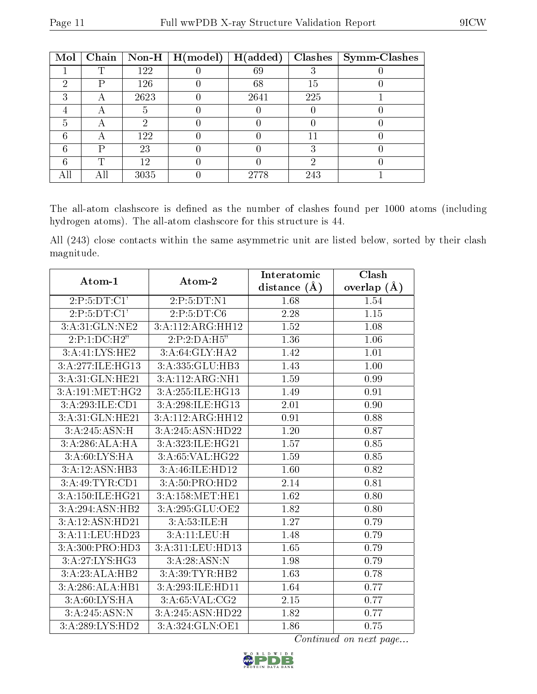| Mol | Chain |      | $\vert$ Non-H $\vert$ H(model) | H(added) | Clashes | Symm-Clashes |
|-----|-------|------|--------------------------------|----------|---------|--------------|
|     | m     | 122  |                                | 69       |         |              |
| ച   | D     | 126  |                                | 68       | 15      |              |
| ച   |       | 2623 |                                | 2641     | 225     |              |
|     |       |      |                                |          |         |              |
| 5   | Α     | 6)   |                                |          |         |              |
| 6   |       | 122  |                                |          |         |              |
| հ   | D     | 23   |                                |          |         |              |
|     | T     | 12   |                                |          | റ       |              |
|     |       | 3035 |                                | 2778     | 243     |              |

The all-atom clashscore is defined as the number of clashes found per 1000 atoms (including hydrogen atoms). The all-atom clashscore for this structure is 44.

All (243) close contacts within the same asymmetric unit are listed below, sorted by their clash magnitude.

| Atom-1           | Atom-2           | Interatomic       | Clash         |
|------------------|------------------|-------------------|---------------|
|                  |                  | distance $(\AA)$  | overlap $(A)$ |
| 2: P: 5: DT: C1' | 2: P: 5: DT: N1  | 1.68              | 1.54          |
| 2:P:5:DT:Cl'     | 2:P:5:DT:C6      | 2.28              | 1.15          |
| 3:A:31:GLN:NE2   | 3:A:112:ARG:HH12 | 1.52              | 1.08          |
| 2:P:1:DC:H2"     | 2:P:2:DA:H5"     | 1.36              | 1.06          |
| 3:A:41:LYS:HE2   | 3:A:64:GLY:HA2   | 1.42              | 1.01          |
| 3:A:277:ILE:HG13 | 3:A:335:GLU:HB3  | 1.43              | $1.00\,$      |
| 3:A:31:GLN:HE21  | 3:A:112:ARG:NH1  | 1.59              | 0.99          |
| 3: A:191:MET:HG2 | 3:A:255:ILE:HG13 | 1.49              | 0.91          |
| 3:A:293:ILE:CD1  | 3:A:298:ILE:HG13 | 2.01              | $0.90\,$      |
| 3:A:31:GLN:HE21  | 3:A:112:ARG:HH12 | 0.91              | 0.88          |
| 3:A:245:ASN:H    | 3:A:245:ASN:HD22 | 1.20              | 0.87          |
| 3:A:286:ALA:HA   | 3:A:323:ILE:HG21 | $\overline{1.57}$ | 0.85          |
| 3:A:60:LYS:HA    | 3:A:65:VAL:HG22  | 1.59              | 0.85          |
| 3:A:12:ASN:HB3   | 3:A:46:ILE:HD12  | 1.60              | $0.82\,$      |
| 3:A:49:TYR:CD1   | 3:A:50:PRO:HD2   | 2.14              | $0.81\,$      |
| 3:A:150:ILE:HG21 | 3:A:158:MET:HE1  | 1.62              | 0.80          |
| 3:A:294:ASN:HB2  | 3:A:295:GLU:OE2  | 1.82              | 0.80          |
| 3:A:12:ASN:HD21  | 3:A:53:ILE:H     | 1.27              | 0.79          |
| 3:A:11:LEU:HD23  | 3:A:11:LEU:H     | 1.48              | 0.79          |
| 3:A:300:PRO:HD3  | 3:A:311:LEU:HD13 | 1.65              | 0.79          |
| 3:A:27:LYS:HG3   | 3: A:28:ASN:N    | 1.98              | 0.79          |
| 3:A:23:ALA:HB2   | 3:A:39:TYR:HB2   | 1.63              | 0.78          |
| 3:A:286:ALA:HB1  | 3:A:293:ILE:HD11 | 1.64              | 0.77          |
| 3: A:60: LYS: HA | 3:A:65:VAL:CG2   | $\overline{2.15}$ | 0.77          |
| 3:A:245:ASN:N    | 3:A:245:ASN:HD22 | 1.82              | 0.77          |
| 3:A:289:LYS:HD2  | 3:A:324:GLN:OE1  | 1.86              | 0.75          |

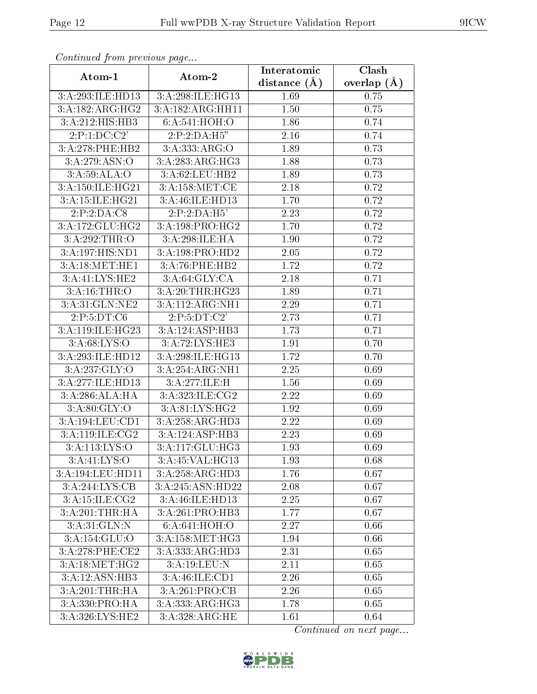| Continuea from previous page       |                                       | Interatomic    | Clash         |  |
|------------------------------------|---------------------------------------|----------------|---------------|--|
| Atom-1                             | Atom-2                                | distance $(A)$ | overlap $(A)$ |  |
| 3:A:293:ILE:HD13                   | 3:A:298:ILE:HG13                      | 1.69           | 0.75          |  |
| 3:A:182:ARG:HG2                    | 3:A:182:ARG:HH11                      | 1.50           | 0.75          |  |
| 3:A:212:HIS:HB3                    | 6:A:541:HOH:O                         | 1.86           | 0.74          |  |
| 2:P:1:DC:C2'                       | 2:P:2:DA:H5"                          | 2.16           | 0.74          |  |
| 3:A:278:PHE:HB2                    | 3:A:333:ARG:O                         | 1.89           | 0.73          |  |
| 3:A:279:ASN:O                      | 3:A:283:ARG:HG3                       | 1.88           | 0.73          |  |
| 3:A:59:ALA:O                       | 3:A:62:LEU:HB2                        | 1.89           | 0.73          |  |
| 3:A:150:ILE:HG21                   | 3: A:158:MET:CE                       | 2.18           | 0.72          |  |
| 3:A:15:ILE:HG21                    | 3:A:46:ILE:HD13                       | 1.70           | 0.72          |  |
| 2:P:2:DA:C8                        | 2:P:2:DA:H5'                          | 2.23           | 0.72          |  |
| 3:A:172:GLU:HG2                    | 3:A:198:PRO:HG2                       | 1.70           | 0.72          |  |
| 3:A:292:THR:O                      | 3:A:298:ILE:HA                        | 1.90           | 0.72          |  |
| 3:A:197:HIS:ND1                    | 3:A:198:PRO:H <sub>D2</sub>           | 2.05           | 0.72          |  |
| 3:A:18:MET:HE1                     | 3:A:76:PHE:HB2                        | 1.72           | 0.72          |  |
| 3:A:41:LYS:HE2                     | 3:A:64:GLY:CA                         | 2.18           | 0.71          |  |
| 3:A:16:THR:O                       | 3:A:20:THR:HG23                       | 1.89           | 0.71          |  |
| 3:A:31:GLN:NE2                     | 3:A:112:ARG:NH1                       | 2.29           | 0.71          |  |
| 2:P:5:DT:C6                        | 2:P:5:DT:C2'                          | 2.73           | 0.71          |  |
| 3:A:119:ILE:HG23                   | 3:A:124:ASP:HB3                       | 1.73           | 0.71          |  |
| 3: A:68: LYS:O                     | 3:A:72:LYS:HE3                        | 1.91           | 0.70          |  |
| 3:A:293:ILE:HD12                   | 3:A:298:ILE:HG13                      | 1.72           | 0.70          |  |
| 3:A:237:GLY:O                      | 3:A:254:ARG:NH1                       | 2.25           | 0.69          |  |
| 3:A:277:ILE:HD13                   | 3:A:277:ILE:H                         | 1.56           | 0.69          |  |
| 3:A:286:ALA:HA                     | $3:A:323:\overline{\mathrm{ILE}:CG2}$ | 2.22           | 0.69          |  |
| 3:A:80:GLY:O                       | 3:A:81:LYS:HG2                        | 1.92           | 0.69          |  |
| 3:A:194:LEU:CD1                    | 3:A:258:ARG:HD3                       | 2.22           | 0.69          |  |
| 3:A:119:ILE:CG2                    | 3:A:124:ASP:HB3                       | 2.23           | 0.69          |  |
| 3:A:113:LYS:O                      | 3:A:117:GLU:HG3                       | 1.93           | 0.69          |  |
| 3: A: 41: LYS: O                   | 3:A:45:VAL:HG13                       | 1.93           | 0.68          |  |
| 3:A:194:LEU:HD11                   | 3:A:258:ARG:HD3                       | 1.76           | 0.67          |  |
| $3:A:244:\overline{\text{LYS:CB}}$ | 3:A:245:ASN:HD22                      | 2.08           | 0.67          |  |
| 3:A:15:ILE:CG2                     | 3:A:46:ILE:HD13                       | 2.25           | 0.67          |  |
| 3:A:201:THR:HA                     | 3:A:261:PRO:HB3                       | 1.77           | 0.67          |  |
| 3:A:31:GLN:N                       | 6:A:641:HOH:O                         | 2.27           | 0.66          |  |
| 3:A:154:GLU:O                      | 3: A:158:MET:HG3                      | 1.94           | 0.66          |  |
| 3:A:278:PHE:CE2                    | 3:A:333:ARG:HD3                       | 2.31           | 0.65          |  |
| 3:A:18:MET:HG2                     | 3:A:19:LEU:N                          | 2.11           | 0.65          |  |
| 3:A:12:ASN:HB3                     | 3:A:46:ILE:CD1                        | 2.26           | 0.65          |  |
| 3:A:201:THR:HA                     | 3:A:261:PRO:CB                        | 2.26           | 0.65          |  |
| 3:A:330:PRO:HA                     | 3:A:333:ARG:HG3                       | 1.78           | 0.65          |  |
| 3:A:326:LYS:HE2                    | 3:A:328:ARG:HE                        | 1.61           | 0.64          |  |

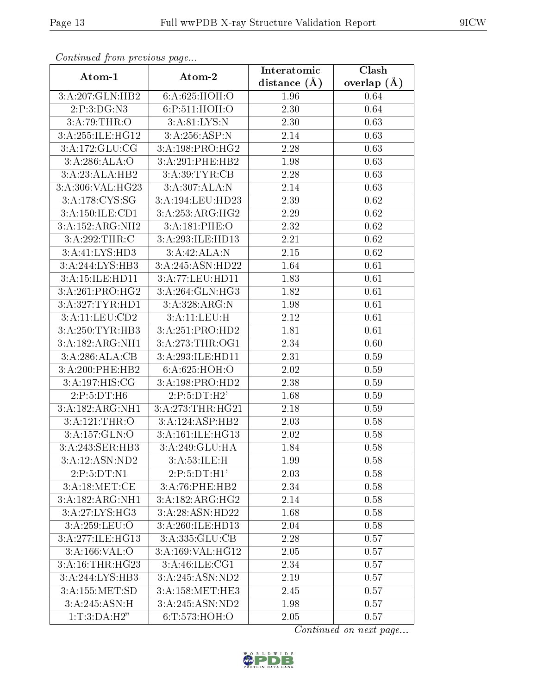| Continuati prom provious pago       |                  | Interatomic    | Clash         |
|-------------------------------------|------------------|----------------|---------------|
| Atom-1                              | Atom-2           | distance $(A)$ | overlap $(A)$ |
| 3:A:207:GLN:HB2                     | 6:A:625:HOH:O    | 1.96           | 0.64          |
| 2:P:3:DG:N3                         | 6:P:511:HOH:O    | 2.30           | 0.64          |
| 3:A:79:THR:O                        | 3:A:81:LYS:N     | 2.30           | 0.63          |
| 3:A:255:ILE:HG12                    | 3:A:256:ASP:N    | 2.14           | 0.63          |
| 3:A:172:GLU:CG                      | 3:A:198:PRO:HG2  | $2.28\,$       | 0.63          |
| 3:A:286:ALA:O                       | 3:A:291:PHE:HB2  | 1.98           | 0.63          |
| 3:A:23:ALA:HB2                      | 3:A:39:TYR:CB    | 2.28           | 0.63          |
| 3:A:306:VAL:HG23                    | 3:A:307:ALA:N    | 2.14           | 0.63          |
| 3:A:178:CYS:SG                      | 3:A:194:LEU:HD23 | 2.39           | 0.62          |
| 3:A:150:ILE:CD1                     | 3:A:253:ARG:HG2  | 2.29           | 0.62          |
| 3:A:152:ARG:NH2                     | 3:A:181:PHE:O    | 2.32           | 0.62          |
| 3:A:292:THR:C                       | 3:A:293:ILE:HD13 | 2.21           | 0.62          |
| 3:A:41:LYS:HD3                      | 3:A:42:ALA:N     | 2.15           | 0.62          |
| 3:A:244:LYS:HB3                     | 3:A:245:ASN:HD22 | 1.64           | 0.61          |
| 3:A:15:ILE:HD11                     | 3:A:77:LEU:HD11  | 1.83           | 0.61          |
| 3:A:261:PRO:HG2                     | 3:A:264:GLN:HG3  | 1.82           | 0.61          |
| 3:A:327:TYR:HD1                     | 3:A:328:ARG:N    | 1.98           | 0.61          |
| 3:A:11:LEU:CD2                      | 3:A:11:LEU:H     | 2.12           | 0.61          |
| 3:A:250:TYR:HB3                     | 3:A:251:PRO:HD2  | 1.81           | 0.61          |
| 3:A:182:ARG:NH1                     | 3:A:273:THR:OG1  | 2.34           | 0.60          |
| 3:A:286:ALA:CB                      | 3:A:293:ILE:HD11 | 2.31           | 0.59          |
| 3:A:200:PHE:HB2                     | 6: A:625: HOH:O  | 2.02           | 0.59          |
| 3:A:197:HIS:CG                      | 3:A:198:PRO:HD2  | 2.38           | 0.59          |
| 2:P:5:DT:H6                         | 2:P:5:DT:H2'     | 1.68           | 0.59          |
| 3:A:182:ARG:NH1                     | 3:A:273:THR:HG21 | 2.18           | 0.59          |
| 3:A:121:THR:O                       | 3:A:124:ASP:HB2  | 2.03           | 0.58          |
| 3:A:157:GLN:O                       | 3:A:161:ILE:HG13 | 2.02           | 0.58          |
| 3:A:243:SER:HB3                     | 3:A:249:GLU:HA   | 1.84           | 0.58          |
| 3:A:12:ASN:ND2                      | 3: A:53: ILE:H   | 1.99           | 0.58          |
| 2:P:5:DT:N1                         | 2:P:5:DT:H1'     | 2.03           | 0.58          |
| 3:A:18:MET:CE                       | 3:A:76:PHE:HB2   | 2.34           | 0.58          |
| 3:A:182:ARG:NH1                     | 3:A:182:ARG:HG2  | 2.14           | 0.58          |
| 3:A:27:LYS:HG3                      | 3:A:28:ASN:HD22  | 1.68           | 0.58          |
| 3:A:259:LEU:O                       | 3:A:260:ILE:HD13 | 2.04           | 0.58          |
| 3:A:277:ILE:HG13                    | 3:A:335:GLU:CB   | 2.28           | 0.57          |
| $3:A:166:\overline{\mathsf{VAL}}:O$ | 3:A:169:VAL:HG12 | 2.05           | 0.57          |
| 3:A:16:THR:HG23                     | 3:A:46:ILE:CG1   | 2.34           | 0.57          |
| 3:A:244:LYS:HB3                     | 3:A:245:ASN:ND2  | 2.19           | 0.57          |
| 3:A:155:MET:SD                      | 3:A:158:MET:HE3  | 2.45           | 0.57          |
| 3:A:245:ASN:H                       | 3:A:245:ASN:ND2  | 1.98           | 0.57          |
| 1: T: 3:DA:H2"                      | 6:T:573:HOH:O    | 2.05           | 0.57          |

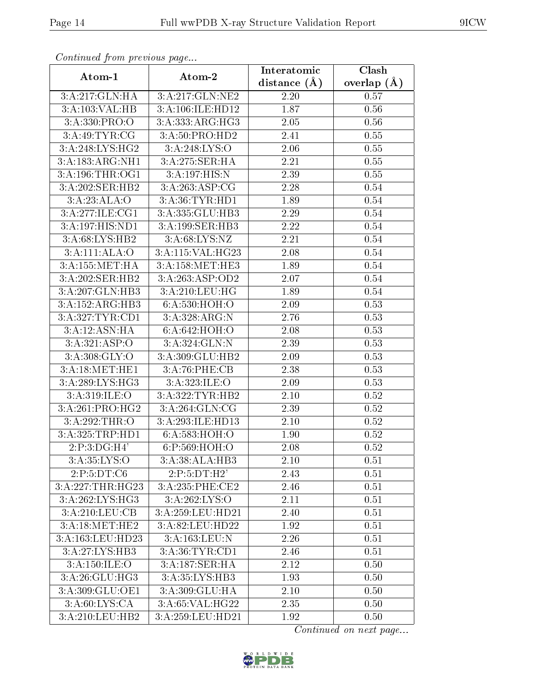| Continuea jiom previous page |                                   | Interatomic       | Clash         |
|------------------------------|-----------------------------------|-------------------|---------------|
| Atom-1                       | Atom-2                            | distance $(A)$    | overlap $(A)$ |
| 3:A:217:GLN:HA               | 3:A:217:GLN:NE2                   | 2.20              | 0.57          |
| 3:A:103:VAL:HB               | 3:A:106:ILE:HD12                  | 1.87              | 0.56          |
| 3: A: 330: PRO: O            | 3: A:333:ARG:HG3                  | 2.05              | 0.56          |
| 3:A:49:TYR:CG                | 3:A:50:PRO:HD2                    | 2.41              | 0.55          |
| 3:A:248:LYS:HG2              | 3:A:248:LYS:O                     | $2.06\,$          | 0.55          |
| 3:A:183:ARG:NH1              | 3:A:275:SER:HA                    | 2.21              | 0.55          |
| 3:A:196:THR:OG1              | 3:A:197:HIS:N                     | <b>2.39</b>       | 0.55          |
| 3:A:202:SER:HB2              | 3:A:263:ASP:CG                    | 2.28              | 0.54          |
| 3:A:23:ALA:O                 | 3:A:36:TYR:HD1                    | 1.89              | 0.54          |
| 3:A:277:ILE:CG1              | 3:A:335:GLU:HB3                   | 2.29              | 0.54          |
| 3:A:197:HIS:ND1              | 3:A:199:SER:HB3                   | 2.22              | 0.54          |
| 3:A:68:LYS:HB2               | 3:A:68:LYS:NZ                     | 2.21              | 0.54          |
| 3:A:111:ALA:O                | 3:A:115:VAL:HG23                  | 2.08              | 0.54          |
| 3:A:155:MET:HA               | 3:A:158:MET:HE3                   | 1.89              | 0.54          |
| 3:A:202:SER:HB2              | 3:A:263:ASP:OD2                   | 2.07              | 0.54          |
| 3:A:207:GLN:HB3              | 3:A:210:LEU:HG                    | 1.89              | 0.54          |
| 3:A:152:ARG:HB3              | 6:A:530:HOH:O                     | 2.09              | 0.53          |
| 3:A:327:TYR:CD1              | $3:A:328:ARG:\overline{\text{N}}$ | 2.76              | 0.53          |
| 3:A:12:ASN:HA                | 6:A:642:HOH:O                     | 2.08              | 0.53          |
| 3:A:321:ASP:O                | 3:A:324:GLN:N                     | 2.39              | 0.53          |
| 3:A:308:GLY:O                | 3:A:309:GLU:HB2                   | 2.09              | 0.53          |
| 3:A:18:MET:HE1               | 3:A:76:PHE:CB                     | 2.38              | 0.53          |
| 3:A:289:LYS:HG3              | 3:A:323:ILE:O                     | 2.09              | 0.53          |
| 3: A:319: ILE: O             | 3:A:322:TYR:HB2                   | $\overline{2}.10$ | 0.52          |
| 3:A:261:PRO:HG2              | 3:A:264:GLN:CG                    | 2.39              | 0.52          |
| 3:A:292:THR:O                | 3:A:293:ILE:HD13                  | $2.10\,$          | 0.52          |
| 3:A:325:TRP:HD1              | 6:A:583:HOH:O                     | 1.90              | 0.52          |
| 2: P: 3: DG:H4'              | 6:P:569:HOH:O                     | 2.08              | 0.52          |
| 3: A:35: LYS:O               | 3:A:38:ALA:HB3                    | 2.10              | 0.51          |
| 2:P:5:DT:C6                  | 2:P:5:DT:H2'                      | 2.43              | 0.51          |
| 3:A:227:THR:HG23             | 3:A:235:PHE:CE2                   | 2.46              | 0.51          |
| 3:A:262:LYS:HG3              | 3:A:262:LYS:O                     | 2.11              | 0.51          |
| 3:A:210:LEU:CB               | 3:A:259:LEU:HD21                  | 2.40              | 0.51          |
| 3:A:18:MET:HE2               | 3:A:82:LEU:HD22                   | 1.92              | 0.51          |
| 3: A: 163: LEU: HD23         | 3:A:163:LEU:N                     | 2.26              | 0.51          |
| 3:A:27:LYS:HB3               | 3:A:36:TYR:CD1                    | 2.46              | 0.51          |
| 3:A:150:ILE:O                | 3:A:187:SER:HA                    | 2.12              | 0.50          |
| 3:A:26:GLU:HG3               | 3:A:35:LYS:HB3                    | 1.93              | 0.50          |
| 3:A:309:GLU:OE1              | 3:A:309:GLU:HA                    | 2.10              | 0.50          |
| 3:A:60:LYS:CA                | 3:A:65:VAL:HG22                   | 2.35              | 0.50          |
| 3:A:210:LEU:HB2              | 3:A:259:LEU:HD21                  | 1.92              | 0.50          |

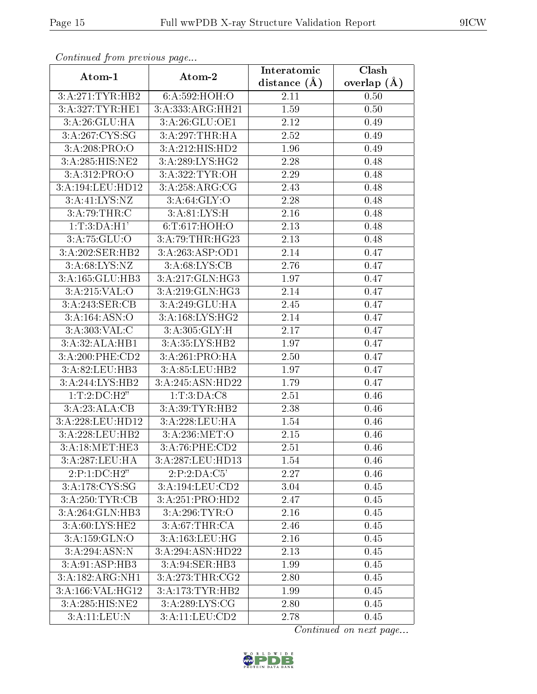| Continuatu jibin previous puge |                              | Interatomic    | Clash           |
|--------------------------------|------------------------------|----------------|-----------------|
| Atom-1                         | Atom-2                       | distance $(A)$ | overlap $(\AA)$ |
| 3:A:271:TYR:HB2                | 6:A:592:HOH:O                | 2.11           | 0.50            |
| 3:A:327:TYR:HE1                | 3:A:333:ARG:HH21             | 1.59           | 0.50            |
| 3:A:26:GLU:HA                  | 3:A:26:GLU:OE1               | 2.12           | 0.49            |
| 3:A:267:CYS:SG                 | 3:A:297:THR:HA               | 2.52           | 0.49            |
| 3:A:208:PRO:O                  | 3:A:212:HIS:HD2              | 1.96           | 0.49            |
| 3:A:285:HIS:NE2                | 3:A:289:LYS:HG2              | 2.28           | 0.48            |
| 3:A:312:PRO:O                  | 3:A:322:TYR:OH               | 2.29           | 0.48            |
| 3:A:194:LEU:HD12               | 3:A:258:ARG:CG               | 2.43           | 0.48            |
| 3:A:41:LYS:NZ                  | 3:A:64:GLY:O                 | 2.28           | 0.48            |
| 3:A:79:THR:C                   | 3:A:81:LYS:H                 | 2.16           | 0.48            |
| 1:T:3:DA:H1'                   | 6:T:617:HOH:O                | 2.13           | 0.48            |
| 3: A:75: GLU:O                 | 3:A:79:THR:HG23              | 2.13           | 0.48            |
| 3:A:202:SER:HB2                | 3: A:263: ASP:OD1            | 2.14           | 0.47            |
| 3:A:68:LYS:NZ                  | 3: A:68: LYS: CB             | 2.76           | 0.47            |
| 3:A:165:GLU:HB3                | 3:A:217:GLN:HG3              | 1.97           | 0.47            |
| 3:A:215:VAL:O                  | 3:A:219:GLN:HG3              | 2.14           | 0.47            |
| 3:A:243:SER:CB                 | 3:A:249:GLU:HA               | 2.45           | 0.47            |
| 3:A:164:ASN:O                  | $3:A:168:LYS:H\overline{G2}$ | 2.14           | 0.47            |
| 3:A:303:VAL:C                  | 3:A:305:GLY:H                | 2.17           | 0.47            |
| 3:A:32:ALA:HB1                 | 3:A:35:LYS:HB2               | 1.97           | 0.47            |
| 3:A:200:PHE:CD2                | 3:A:261:PRO:HA               | 2.50           | 0.47            |
| 3:A:82:LEU:HB3                 | 3:A:85:LEU:HB2               | 1.97           | 0.47            |
| 3:A:244:LYS:HB2                | 3:A:245:ASN:HD22             | 1.79           | 0.47            |
| 1: T: 2: DC: H2"               | 1: T: 3: DA: C8              | 2.51           | 0.46            |
| 3:A:23:ALA:CB                  | 3:A:39:TYR:HB2               | 2.38           | 0.46            |
| 3:A:228:LEU:HD12               | 3:A:228:LEU:HA               | 1.54           | 0.46            |
| 3:A:228:LEU:HB2                | 3:A:236:MET:O                | 2.15           | 0.46            |
| 3: A:18:MET:HE3                | $3:A:76:PHE:\overline{CD2}$  | 2.51           | 0.46            |
| 3:A:287:LEU:HA                 | 3:A:287:LEU:HD13             | 1.54           | 0.46            |
| 2:P:1:DC:H2"                   | 2:P:2:DA:C5'                 | 2.27           | 0.46            |
| 3:A:178:CYS:SG                 | 3:A:194:LEU:CD2              | 3.04           | 0.45            |
| 3:A:250:TYR:CB                 | 3:A:251:PRO:HD2              | 2.47           | 0.45            |
| 3:A:264:GLN:HB3                | 3:A:296:TYR:O                | 2.16           | 0.45            |
| 3:A:60:LYS:HE2                 | 3:A:67:THR:CA                | 2.46           | 0.45            |
| 3:A:159:GLN:O                  | 3:A:163:LEU:HG               | 2.16           | 0.45            |
| 3:A:294:ASN:N                  | 3:A:294:ASN:HD22             | 2.13           | 0.45            |
| 3:A:91:ASP:HB3                 | 3:A:94:SER:HB3               | 1.99           | 0.45            |
| 3:A:182:ARG:NH1                | 3: A:273:THR:CG2             | 2.80           | 0.45            |
| 3:A:166:VAL:HG12               | 3: A:173: TYR: HB2           | 1.99           | 0.45            |
| 3:A:285:HIS:NE2                | 3:A:289:LYS:CG               | 2.80           | 0.45            |
| 3:A:11:LEU:N                   | 3:A:11:LEU:CD2               | 2.78           | 0.45            |

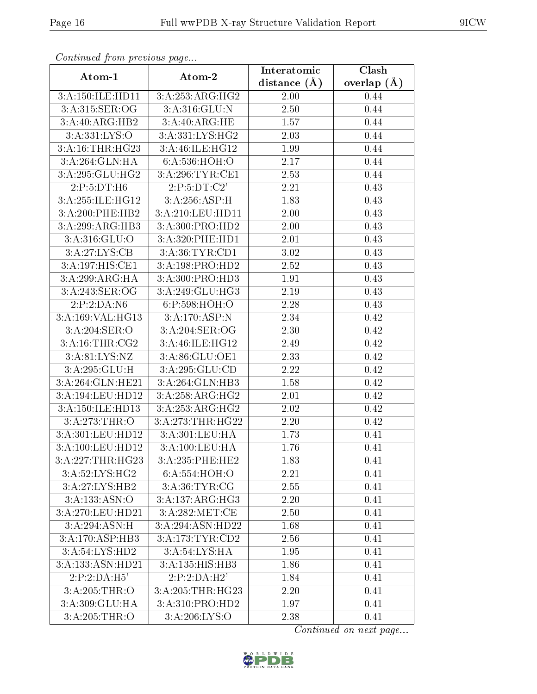| commune from previous page         |                  | Interatomic    | Clash           |
|------------------------------------|------------------|----------------|-----------------|
| Atom-1                             | Atom-2           | distance $(A)$ | overlap $(\AA)$ |
| 3:A:150:ILE:HD11                   | 3:A:253:ARG:HG2  | 2.00           | 0.44            |
| 3:A:315:SER:OG                     | 3:A:316:GLU:N    | 2.50           | 0.44            |
| 3:A:40:ARG:HB2                     | 3:A:40:ARG:HE    | 1.57           | 0.44            |
| 3:A:331:LYS:O                      | 3:A:331:LYS:HG2  | 2.03           | 0.44            |
| 3:A:16:THR:HG23                    | 3:A:46:ILE:HG12  | 1.99           | 0.44            |
| 3:A:264:GLN:HA                     | 6:A:536:HOH:O    | 2.17           | 0.44            |
| 3:A:295:GLU:HG2                    | 3:A:296:TYR:CE1  | 2.53           | 0.44            |
| 2:P:5:DT:H6                        | 2:P:5:DT:C2'     | 2.21           | 0.43            |
| 3:A:255:ILE:HG12                   | 3:A:256:ASP:H    | 1.83           | 0.43            |
| 3:A:200:PHE:HB2                    | 3:A:210:LEU:HD11 | 2.00           | 0.43            |
| 3:A:299:ARG:HB3                    | 3:A:300:PRO:HD2  | 2.00           | 0.43            |
| 3: A:316: GLU:O                    | 3:A:320:PHE:HD1  | 2.01           | 0.43            |
| 3:A:27:LYS:CB                      | 3:A:36:TYR:CD1   | 3.02           | 0.43            |
| 3:A:197:HIS:CE1                    | 3:A:198:PRO:HD2  | 2.52           | 0.43            |
| 3:A:299:ARG:HA                     | 3:A:300:PRO:HD3  | 1.91           | 0.43            |
| 3:A:243:SER:OG                     | 3:A:249:GLU:HG3  | 2.19           | 0.43            |
| 2:P:2:DA:N6                        | 6:P:598:HOH:O    | 2.28           | 0.43            |
| 3:A:169:VAL:HG13                   | 3:A:170:ASP:N    | 2.34           | 0.42            |
| 3:A:204:SER:O                      | 3:A:204:SER:OG   | 2.30           | 0.42            |
| 3:A:16:THR:CG2                     | 3:A:46:ILE:HG12  | 2.49           | 0.42            |
| 3:A:81:LYS:NZ                      | 3:A:86:GLU:OE1   | 2.33           | 0.42            |
| 3:A:295:GLU:H                      | 3:A:295:GLU:CD   | 2.22           | 0.42            |
| 3:A:264:GLN:HE21                   | 3:A:264:GLN:HB3  | 1.58           | 0.42            |
| 3:A:194:LEU:HD12                   | 3:A:258:ARG:HG2  | 2.01           | 0.42            |
| 3:A:150:ILE:HD13                   | 3:A:253:ARG:HG2  | 2.02           | 0.42            |
| 3:A:273:THR:O                      | 3:A:273:THR:HG22 | 2.20           | 0.42            |
| 3:A:301:LEU:HD12                   | 3:A:301:LEU:HA   | 1.73           | 0.41            |
| $3: A:100:$ LEU:HD12               | 3:A:100:LEU:HA   | 1.76           | 0.41            |
| 3:A:227:THR:HG23                   | 3:A:235:PHE:HE2  | 1.83           | 0.41            |
| 3:A:52:LYS:HG2                     | 6:A:554:HOH:O    | 2.21           | 0.41            |
| 3:A:27:LYS:HB2                     | 3: A:36: TYR: CG | 2.55           | 0.41            |
| $3:A:133.\overline{ASN:O}$         | 3:A:137:ARG:HG3  | 2.20           | 0.41            |
| 3:A:270:LEU:HD21                   | 3: A:282:MET:CE  | 2.50           | 0.41            |
| 3:A:294:ASN:H                      | 3:A:294:ASN:HD22 | 1.68           | 0.41            |
| 3:A:170:ASP:HB3                    | 3:A:173:TYR:CD2  | 2.56           | 0.41            |
| $3:A:54:\overline{\text{LYS:HD2}}$ | 3:A:54:LYS:HA    | 1.95           | 0.41            |
| 3:A:133:ASN:HD21                   | 3:A:135:HIS:HB3  | 1.86           | 0.41            |
| 2:P:2:DA:H5'                       | 2:P:2:DA:H2'     | 1.84           | 0.41            |
| 3:A:205:THR:O                      | 3:A:205:THR:HG23 | 2.20           | 0.41            |
| 3:A:309:GLU:HA                     | 3:A:310:PRO:HD2  | 1.97           | 0.41            |
| 3:A:205:THR:O                      | 3:A:206:LYS:O    | 2.38           | 0.41            |

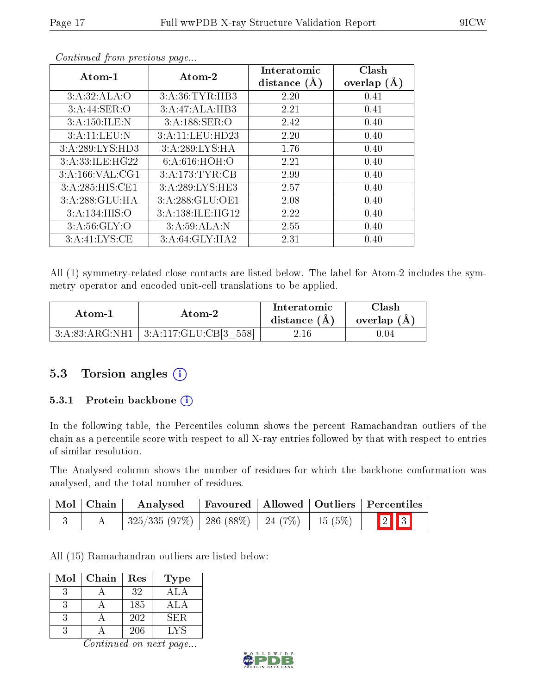| Atom-1            | Atom-2           | Interatomic    | Clash         |
|-------------------|------------------|----------------|---------------|
|                   |                  | distance $(A)$ | overlap $(A)$ |
| 3:A:32:ALA:O      | 3: A:36: TYR:HB3 | 2.20           | 0.41          |
| 3:A:44:SER:O      | 3:A:47:ALA:HB3   | 2.21           | 0.41          |
| 3:A:150:ILE:N     | 3:A:188:SER:O    | 2.42           | 0.40          |
| 3:A:11:LEU:N      | 3:A:11:LEU:HD23  | 2.20           | 0.40          |
| 3:A:289:LYS:HD3   | 3:A:289:LYS:HA   | 1.76           | 0.40          |
| 3:A:33:ILE:HG22   | 6: A:616: HOH:O  | 2.21           | 0.40          |
| 3:A:166:VAL:CG1   | 3:A:173:TYR:CB   | 2.99           | 0.40          |
| 3:A:285:HIS:CE1   | 3:A:289:LYS:HE3  | 2.57           | 0.40          |
| 3:A:288:GLU:HA    | 3:A:288:GLU:OE1  | 2.08           | 0.40          |
| 3: A: 134: HIS: O | 3:A:138:ILE:HG12 | 2.22           | 0.40          |
| 3: A:56: GLY:O    | 3:A:59:ALA:N     | 2.55           | 0.40          |
| 3:A:41:LYS:CE     | 3:A:64:GLY:HA2   | 2.31           | 0.40          |

All (1) symmetry-related close contacts are listed below. The label for Atom-2 includes the symmetry operator and encoded unit-cell translations to be applied.

| Atom-1         | Atom-2                  | Interatomic<br>distance $(A)$ | Clash<br>overlap (A) |
|----------------|-------------------------|-------------------------------|----------------------|
| 3:A:83:ARG:NH1 | 3:A:117:GLU:CB[3<br>558 | $2.16\,$                      | 9.04                 |

#### 5.3 Torsion angles (i)

#### 5.3.1 Protein backbone  $(i)$

In the following table, the Percentiles column shows the percent Ramachandran outliers of the chain as a percentile score with respect to all X-ray entries followed by that with respect to entries of similar resolution.

The Analysed column shows the number of residues for which the backbone conformation was analysed, and the total number of residues.

| $\vert$ Mol $\vert$ Chain $\vert$ | Analysed                                            |  | Favoured   Allowed   Outliers   Percentiles |
|-----------------------------------|-----------------------------------------------------|--|---------------------------------------------|
|                                   | $325/335 (97\%)$   286 (88\%)   24 (7\%)   15 (5\%) |  | $\boxed{2}$ $\boxed{3}$                     |

All (15) Ramachandran outliers are listed below:

| Mol | Chain | Res | <b>Type</b> |
|-----|-------|-----|-------------|
|     |       | 32  | A L         |
|     |       | 185 | ALA         |
|     |       | 202 | SER.        |
|     |       | 206 | LYS         |

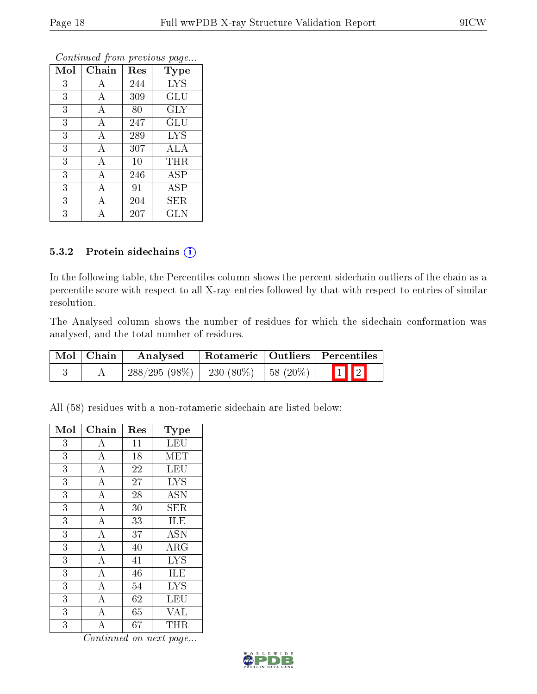| Mol | Chain | Res | <b>Type</b>  |
|-----|-------|-----|--------------|
| 3   | А     | 244 | <b>LYS</b>   |
| 3   | А     | 309 | GLU          |
| 3   | А     | 80  | <b>GLY</b>   |
| 3   | А     | 247 | GLU          |
| 3   | А     | 289 | <b>LYS</b>   |
| 3   | А     | 307 | ALA          |
| 3   | А     | 10  | THR          |
| 3   | А     | 246 | ASP          |
| 3   | А     | 91  | $_{\rm ASP}$ |
| 3   | А     | 204 | SER          |
| 3   |       | 207 | <b>GLN</b>   |

#### 5.3.2 Protein sidechains (i)

In the following table, the Percentiles column shows the percent sidechain outliers of the chain as a percentile score with respect to all X-ray entries followed by that with respect to entries of similar resolution.

The Analysed column shows the number of residues for which the sidechain conformation was analysed, and the total number of residues.

| Mol   Chain | Analysed                                  |  | Rotameric   Outliers   Percentiles |
|-------------|-------------------------------------------|--|------------------------------------|
|             | $288/295 (98\%)$ 230 (80%) 58 (20%) 1 1 2 |  |                                    |

All (58) residues with a non-rotameric sidechain are listed below:

| Mol            | Chain              | Res | Type                      |
|----------------|--------------------|-----|---------------------------|
| 3              | А                  | 11  | LEU                       |
| 3              | A                  | 18  | MET                       |
| $\overline{3}$ | $\overline{\rm A}$ | 22  | <b>LEU</b>                |
| 3              | $\bf{A}$           | 27  | <b>LYS</b>                |
| $\overline{3}$ | $\overline{\rm A}$ | 28  | $\overline{A}$ SN         |
| 3              | $\overline{A}$     | 30  | <b>SER</b>                |
| 3              | $\bf{A}$           | 33  | ILE                       |
| 3              | $\overline{\rm A}$ | 37  | <b>ASN</b>                |
| 3              | $\bf{A}$           | 40  | ARG                       |
| 3              | $\overline{\rm A}$ | 41  | <b>LYS</b>                |
| 3              | $\bf{A}$           | 46  | ILE                       |
| 3              | $\overline{\rm A}$ | 54  | $\overline{\mathrm{LYS}}$ |
| 3              | $\overline{\rm A}$ | 62  | LEU                       |
| 3              | А                  | 65  | <b>VAL</b>                |
| 3              | A                  | 67  | $\rm THR$                 |

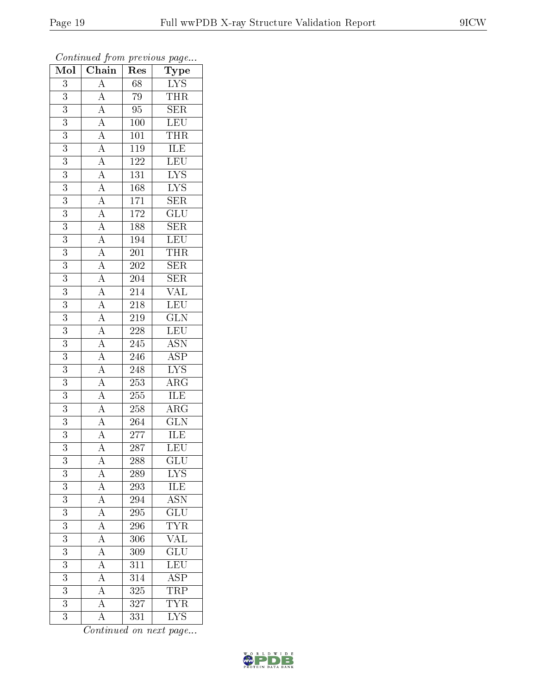| Mol              | $\overline{\text{Chain}}$                                                                                                                                                                                                                                                                                                                                                                                                                                               | Res              | $\overline{\phantom{a}}$<br>Type           |
|------------------|-------------------------------------------------------------------------------------------------------------------------------------------------------------------------------------------------------------------------------------------------------------------------------------------------------------------------------------------------------------------------------------------------------------------------------------------------------------------------|------------------|--------------------------------------------|
| $\boldsymbol{3}$ | $\mathbf{A}$                                                                                                                                                                                                                                                                                                                                                                                                                                                            | 68               | $\frac{\overline{\text{LYS}}}{\text{THR}}$ |
| 3                | $\overline{A}$                                                                                                                                                                                                                                                                                                                                                                                                                                                          | 79               |                                            |
| $\overline{3}$   |                                                                                                                                                                                                                                                                                                                                                                                                                                                                         | $\overline{95}$  | SER                                        |
| $\overline{3}$   |                                                                                                                                                                                                                                                                                                                                                                                                                                                                         | $100\,$          | LEU                                        |
| $\overline{3}$   |                                                                                                                                                                                                                                                                                                                                                                                                                                                                         | $\overline{101}$ | <b>THR</b>                                 |
| 3                |                                                                                                                                                                                                                                                                                                                                                                                                                                                                         | <b>119</b>       | ILE                                        |
| 3                |                                                                                                                                                                                                                                                                                                                                                                                                                                                                         | $122\,$          | LEU                                        |
| $\overline{3}$   |                                                                                                                                                                                                                                                                                                                                                                                                                                                                         | $\overline{131}$ | $\overline{\text{LYS}}$                    |
| $\overline{3}$   |                                                                                                                                                                                                                                                                                                                                                                                                                                                                         | $168\,$          | $\overline{\text{LYS}}$                    |
| $\overline{3}$   |                                                                                                                                                                                                                                                                                                                                                                                                                                                                         | 171              | $\overline{\text{SER}}$                    |
| 3                |                                                                                                                                                                                                                                                                                                                                                                                                                                                                         | 172              | $\overline{{\rm GLU}}$                     |
| 3                |                                                                                                                                                                                                                                                                                                                                                                                                                                                                         | 188              | $\overline{\text{SER}}$                    |
| $\overline{3}$   |                                                                                                                                                                                                                                                                                                                                                                                                                                                                         | $\overline{194}$ | LEU                                        |
| $\overline{3}$   | $\frac{\frac{1}{\mathbf{A}}\mathbf{A}}{\mathbf{A}}\frac{\mathbf{A}}{\mathbf{A}}\frac{\mathbf{A}}{\mathbf{A}}\frac{\mathbf{A}}{\mathbf{A}}\frac{\mathbf{A}}{\mathbf{A}}\frac{\mathbf{A}}{\mathbf{A}}\frac{\mathbf{A}}{\mathbf{A}}\frac{\mathbf{A}}{\mathbf{A}}\frac{\mathbf{A}}{\mathbf{A}}\frac{\mathbf{A}}{\mathbf{A}}\frac{\mathbf{A}}{\mathbf{A}}\frac{\mathbf{A}}{\mathbf{A}}\frac{\mathbf{A}}{\mathbf{A}}\frac{\mathbf{A}}{\mathbf{A}}\frac{\mathbf{A}}{\mathbf{A$ | $\overline{201}$ | <b>THR</b>                                 |
| $\overline{3}$   |                                                                                                                                                                                                                                                                                                                                                                                                                                                                         | $\overline{202}$ | $\overline{\text{SER}}$                    |
| $\boldsymbol{3}$ |                                                                                                                                                                                                                                                                                                                                                                                                                                                                         | 204              | SER                                        |
| $\overline{3}$   |                                                                                                                                                                                                                                                                                                                                                                                                                                                                         | $\overline{214}$ | $\overline{\text{VAL}}$                    |
| $\overline{3}$   |                                                                                                                                                                                                                                                                                                                                                                                                                                                                         | $218\,$          | <b>LEU</b>                                 |
| $\overline{3}$   |                                                                                                                                                                                                                                                                                                                                                                                                                                                                         | 219              | $\overline{\text{GLN}}$                    |
| $\overline{3}$   |                                                                                                                                                                                                                                                                                                                                                                                                                                                                         | <b>228</b>       | <b>LEU</b>                                 |
| 3                |                                                                                                                                                                                                                                                                                                                                                                                                                                                                         | 245              | $\overline{\text{ASN}}$                    |
| $\overline{3}$   |                                                                                                                                                                                                                                                                                                                                                                                                                                                                         | $\overline{24}6$ | $\overline{\text{ASP}}$                    |
| $\overline{3}$   |                                                                                                                                                                                                                                                                                                                                                                                                                                                                         | $\overline{248}$ | $\overline{\text{LYS}}$                    |
| $\overline{3}$   |                                                                                                                                                                                                                                                                                                                                                                                                                                                                         | <b>253</b>       | $\overline{\rm{ARG}}$                      |
| $\overline{3}$   |                                                                                                                                                                                                                                                                                                                                                                                                                                                                         | 255              | <b>ILE</b>                                 |
| 3                |                                                                                                                                                                                                                                                                                                                                                                                                                                                                         | 258              | $\overline{\rm{ARG}}$                      |
| $\overline{3}$   |                                                                                                                                                                                                                                                                                                                                                                                                                                                                         | 264              | $\overline{\text{GLN}}$                    |
| $\overline{3}$   |                                                                                                                                                                                                                                                                                                                                                                                                                                                                         | 277              | <b>ILE</b>                                 |
| $\overline{3}$   |                                                                                                                                                                                                                                                                                                                                                                                                                                                                         | $\overline{287}$ | $\overline{\text{LEU}}$                    |
| 3                | $\mathbf{A}$                                                                                                                                                                                                                                                                                                                                                                                                                                                            | 288              | GLU                                        |
| 3                | $\overline{A}$                                                                                                                                                                                                                                                                                                                                                                                                                                                          | 289              | LYS                                        |
| $\overline{3}$   |                                                                                                                                                                                                                                                                                                                                                                                                                                                                         | 293              | <b>ILE</b>                                 |
| 3                | $\frac{\overline{A}}{\overline{A}}$ $\frac{\overline{A}}{\overline{A}}$ $\frac{\overline{A}}{\overline{A}}$                                                                                                                                                                                                                                                                                                                                                             | $\overline{294}$ | $\overline{\mathrm{ASN}}$                  |
| $\overline{3}$   |                                                                                                                                                                                                                                                                                                                                                                                                                                                                         | 295              | $\overline{{\rm GLU}}$                     |
| $\boldsymbol{3}$ |                                                                                                                                                                                                                                                                                                                                                                                                                                                                         | 296              | $\overline{\text{TYR}}$                    |
| $\overline{3}$   |                                                                                                                                                                                                                                                                                                                                                                                                                                                                         | $\overline{306}$ | $\overline{\text{VAL}}$                    |
| $\overline{3}$   |                                                                                                                                                                                                                                                                                                                                                                                                                                                                         | 309              | $\overline{\mathrm{GLU}}$                  |
| $\overline{3}$   | $\overline{A}$                                                                                                                                                                                                                                                                                                                                                                                                                                                          | 311              | $\overline{\text{LEU}}$                    |
| $\overline{3}$   | $\overline{A}$                                                                                                                                                                                                                                                                                                                                                                                                                                                          | $\overline{314}$ |                                            |
| 3                | $\overline{A}$                                                                                                                                                                                                                                                                                                                                                                                                                                                          | 325              | $\frac{\overline{\text{ASP}}}{\text{TRP}}$ |
| $\overline{3}$   | $\overline{A}$                                                                                                                                                                                                                                                                                                                                                                                                                                                          | 327              | <b>TYR</b>                                 |
| $\overline{3}$   | $\overline{\rm A}$                                                                                                                                                                                                                                                                                                                                                                                                                                                      | 331              | $\overline{\text{LYS}}$                    |

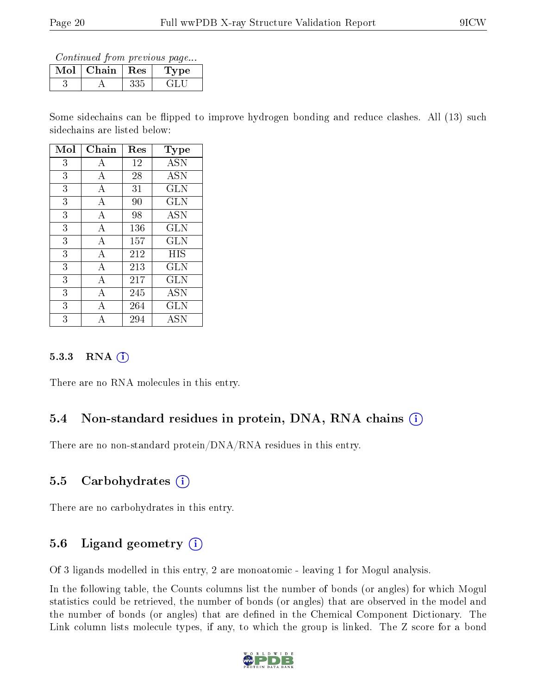Continued from previous page...

| Mol | Chain   Res | vpe |
|-----|-------------|-----|
|     |             |     |

Some sidechains can be flipped to improve hydrogen bonding and reduce clashes. All (13) such sidechains are listed below:

| Mol | Chain | Res | Type       |
|-----|-------|-----|------------|
| 3   | А     | 12  | <b>ASN</b> |
| 3   | А     | 28  | <b>ASN</b> |
| 3   | А     | 31  | <b>GLN</b> |
| 3   | А     | 90  | <b>GLN</b> |
| 3   | А     | 98  | <b>ASN</b> |
| 3   | А     | 136 | GLN        |
| 3   | А     | 157 | GLN        |
| 3   | А     | 212 | HIS        |
| 3   | А     | 213 | <b>GLN</b> |
| 3   | A     | 217 | GLN        |
| 3   | А     | 245 | <b>ASN</b> |
| 3   | А     | 264 | GLN        |
| 3   |       | 294 | ASN        |

#### 5.3.3 RNA (i)

There are no RNA molecules in this entry.

#### 5.4 Non-standard residues in protein, DNA, RNA chains (i)

There are no non-standard protein/DNA/RNA residues in this entry.

#### 5.5 Carbohydrates  $(i)$

There are no carbohydrates in this entry.

#### 5.6 Ligand geometry  $(i)$

Of 3 ligands modelled in this entry, 2 are monoatomic - leaving 1 for Mogul analysis.

In the following table, the Counts columns list the number of bonds (or angles) for which Mogul statistics could be retrieved, the number of bonds (or angles) that are observed in the model and the number of bonds (or angles) that are defined in the Chemical Component Dictionary. The Link column lists molecule types, if any, to which the group is linked. The Z score for a bond

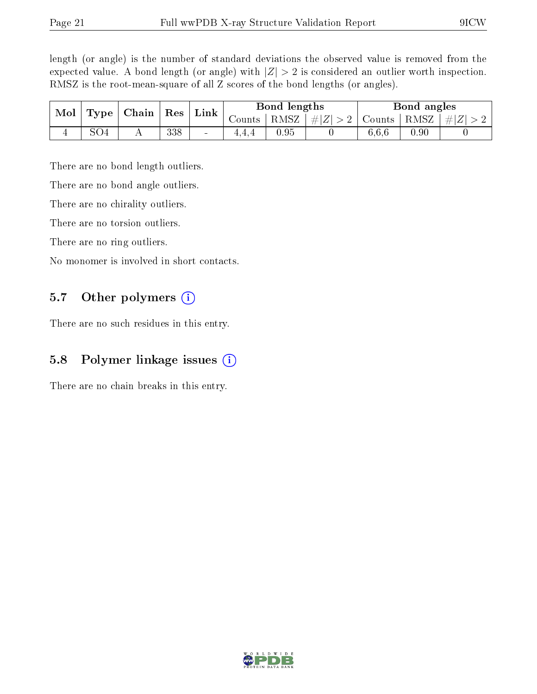length (or angle) is the number of standard deviations the observed value is removed from the expected value. A bond length (or angle) with  $|Z| > 2$  is considered an outlier worth inspection. RMSZ is the root-mean-square of all Z scores of the bond lengths (or angles).

| Mol<br>Type | Chain | $\mid$ Res     | $\perp$ Link | Bond lengths                 |        |          | Bond angles |        |      |           |
|-------------|-------|----------------|--------------|------------------------------|--------|----------|-------------|--------|------|-----------|
|             |       |                |              |                              | Counts | RMSZ     | $\# Z  > 2$ | Counts | RMSZ | $\pm  Z $ |
|             |       | $\overline{1}$ | 338          | $\qquad \qquad \blacksquare$ | 4.4.4  | $0.95\,$ |             | 6,6,6  | 0.90 |           |

There are no bond length outliers.

There are no bond angle outliers.

There are no chirality outliers.

There are no torsion outliers.

There are no ring outliers.

No monomer is involved in short contacts.

#### 5.7 [O](https://www.wwpdb.org/validation/2017/XrayValidationReportHelp#nonstandard_residues_and_ligands)ther polymers  $(i)$

There are no such residues in this entry.

#### 5.8 Polymer linkage issues  $(i)$

There are no chain breaks in this entry.

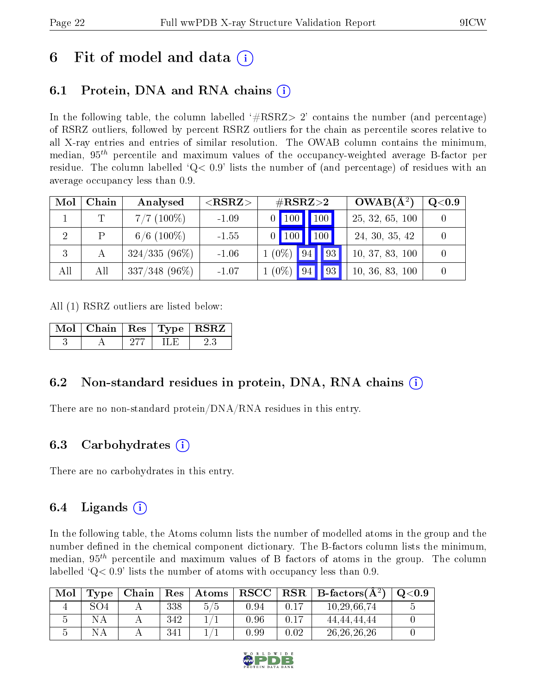### 6 Fit of model and data  $\left( \cdot \right)$

### 6.1 Protein, DNA and RNA chains (i)

In the following table, the column labelled  $#RSRZ>2'$  contains the number (and percentage) of RSRZ outliers, followed by percent RSRZ outliers for the chain as percentile scores relative to all X-ray entries and entries of similar resolution. The OWAB column contains the minimum, median,  $95<sup>th</sup>$  percentile and maximum values of the occupancy-weighted average B-factor per residue. The column labelled  $Q< 0.9$  lists the number of (and percentage) of residues with an average occupancy less than 0.9.

| Mol | Chain | Analysed         | ${ <\hspace{-1.5pt}{\mathrm{RSRZ}} \hspace{-1.5pt}>}$ | $\#\text{RSRZ}{>}2$ |  | $OWAB(A^2)$     | $\rm Q\textcolor{black}{<}0.9$ |
|-----|-------|------------------|-------------------------------------------------------|---------------------|--|-----------------|--------------------------------|
|     |       | $7/7$ (100\%)    | $-1.09$                                               | $0$ 100 100         |  | 25, 32, 65, 100 |                                |
|     |       | $6/6$ (100\%)    | $-1.55$                                               | $0$ 100 100         |  | 24, 30, 35, 42  |                                |
| 3   |       | $324/335(96\%)$  | $-1.06$                                               | $1(0\%)$ 94 93      |  | 10, 37, 83, 100 |                                |
| All | All   | $337/348$ (96\%) | $-1.07$                                               | $1(0\%)$ 94 93      |  | 10, 36, 83, 100 |                                |

All (1) RSRZ outliers are listed below:

| Mol   Chain   Res   Type   RSRZ |  |  |
|---------------------------------|--|--|
|                                 |  |  |

### 6.2 Non-standard residues in protein, DNA, RNA chains  $(i)$

There are no non-standard protein/DNA/RNA residues in this entry.

#### 6.3 Carbohydrates (i)

There are no carbohydrates in this entry.

### 6.4 Ligands  $(i)$

In the following table, the Atoms column lists the number of modelled atoms in the group and the number defined in the chemical component dictionary. The B-factors column lists the minimum, median,  $95<sup>th</sup>$  percentile and maximum values of B factors of atoms in the group. The column labelled  $Q< 0.9$ ' lists the number of atoms with occupancy less than 0.9.

| Mol | Type | Chain | ${\mathop{\mathrm{Res}}\nolimits}$ | Atoms | ${\bf RSCC}$ | $\ $ RSR $\ $ | $\vert$ B-factors( $\rm \AA^2)$ | $\mathrm{O}{<}0.9$ |
|-----|------|-------|------------------------------------|-------|--------------|---------------|---------------------------------|--------------------|
|     | SO4  |       | 338                                | 5/5   | 0.94         | 0.17          | 10,29,66,74                     |                    |
|     |      |       | 342                                |       | 0.96         | 0.17          | 44.44.44.44                     |                    |
|     |      |       | 341                                |       | ${0.99}$     | 0.02          | 26, 26, 26, 26                  |                    |